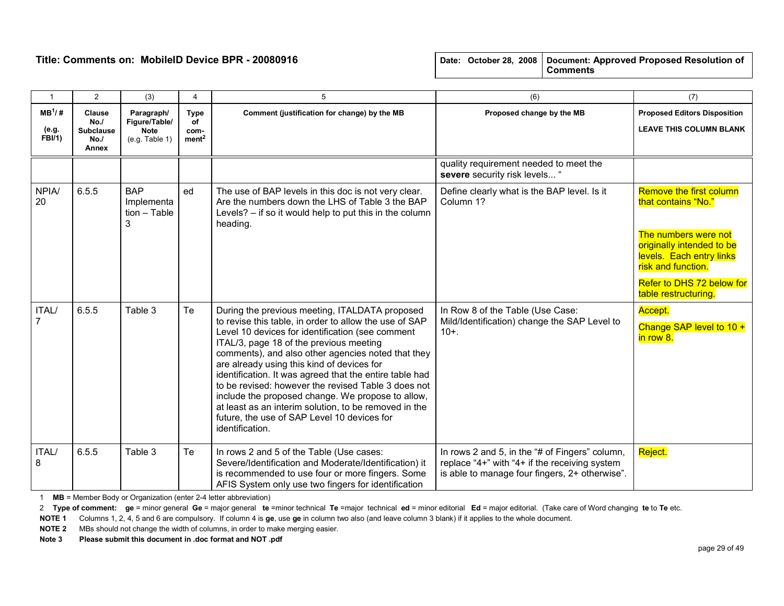| $\overline{1}$                     | $\overline{2}$                                    | (3)                                                          | 4                                              | 5                                                                                                                                                                                                                                                                                                                                                                                                                                                                                                                                                                                                             | (6)                                                                                                                                                                                                                                                                    | (7)                                                                   |
|------------------------------------|---------------------------------------------------|--------------------------------------------------------------|------------------------------------------------|---------------------------------------------------------------------------------------------------------------------------------------------------------------------------------------------------------------------------------------------------------------------------------------------------------------------------------------------------------------------------------------------------------------------------------------------------------------------------------------------------------------------------------------------------------------------------------------------------------------|------------------------------------------------------------------------------------------------------------------------------------------------------------------------------------------------------------------------------------------------------------------------|-----------------------------------------------------------------------|
| $MB^1/H$<br>(e.g.<br><b>FBI/1)</b> | Clause<br>No.<br><b>Subclause</b><br>No.<br>Annex | Paragraph/<br>Figure/Table/<br><b>Note</b><br>(e.g. Table 1) | <b>Type</b><br>οf<br>com-<br>ment <sup>2</sup> | Proposed change by the MB<br>Comment (justification for change) by the MB                                                                                                                                                                                                                                                                                                                                                                                                                                                                                                                                     |                                                                                                                                                                                                                                                                        | <b>Proposed Editors Disposition</b><br><b>LEAVE THIS COLUMN BLANK</b> |
|                                    |                                                   |                                                              |                                                |                                                                                                                                                                                                                                                                                                                                                                                                                                                                                                                                                                                                               | quality requirement needed to meet the<br>severe security risk levels "                                                                                                                                                                                                |                                                                       |
| <b>NPIA/</b><br>20                 | 6.5.5                                             | <b>BAP</b><br>Implementa<br>$tion - Table$<br>3              | ed                                             | The use of BAP levels in this doc is not very clear.<br>Are the numbers down the LHS of Table 3 the BAP<br>Levels? - if so it would help to put this in the column<br>heading.                                                                                                                                                                                                                                                                                                                                                                                                                                | Remove the first column<br>Define clearly what is the BAP level. Is it<br>Column 1?<br>that contains "No."<br>The numbers were not<br>originally intended to be<br>levels. Each entry links<br>risk and function.<br>Refer to DHS 72 below for<br>table restructuring. |                                                                       |
| <b>ITAL/</b><br>7                  | 6.5.5                                             | Table 3                                                      | Te                                             | During the previous meeting, ITALDATA proposed<br>to revise this table, in order to allow the use of SAP<br>Level 10 devices for identification (see comment<br>ITAL/3, page 18 of the previous meeting<br>comments), and also other agencies noted that they<br>are already using this kind of devices for<br>identification. It was agreed that the entire table had<br>to be revised: however the revised Table 3 does not<br>include the proposed change. We propose to allow,<br>at least as an interim solution, to be removed in the<br>future, the use of SAP Level 10 devices for<br>identification. | In Row 8 of the Table (Use Case:<br>Mild/Identification) change the SAP Level to<br>$10+$ .                                                                                                                                                                            | Accept.<br>Change SAP level to 10 +<br>in row 8.                      |
| ITAL/<br>8                         | 6.5.5                                             | Table 3                                                      | Te                                             | In rows 2 and 5 of the Table (Use cases:<br>Severe/Identification and Moderate/Identification) it<br>is recommended to use four or more fingers. Some<br>AFIS System only use two fingers for identification                                                                                                                                                                                                                                                                                                                                                                                                  | In rows 2 and 5, in the "# of Fingers" column,<br>replace "4+" with "4+ if the receiving system<br>is able to manage four fingers, 2+ otherwise".                                                                                                                      | Reject.                                                               |

1 MB = Member Body or Organization (enter 2-4 letter abbreviation)

2 Type of comment: ge = minor general Ge = major general te =minor technical Te =major technical ed = minor editorial Ed = major editorial. (Take care of Word changing te to Te etc.

NOTE 1 Columns 1, 2, 4, 5 and 6 are compulsory. If column 4 is ge, use ge in column two also (and leave column 3 blank) if it applies to the whole document.

NOTE 2 MBs should not change the width of columns, in order to make merging easier.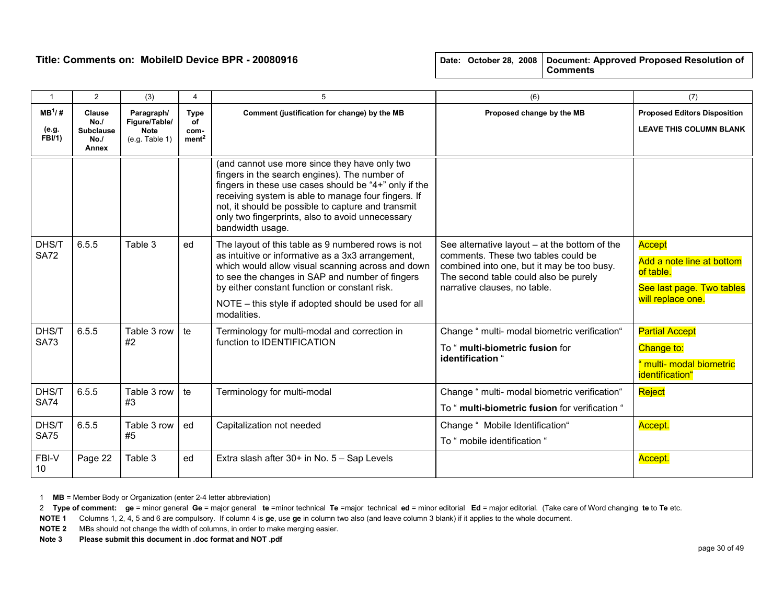| $\mathbf{1}$                       | 2                                                        | (3)                                                   | 4                                              | 5                                                                                                                                                                                                                                                                                                                                            | (6)                                                                                                                                                                                                                                                                                                                 | (7)                                                                                |
|------------------------------------|----------------------------------------------------------|-------------------------------------------------------|------------------------------------------------|----------------------------------------------------------------------------------------------------------------------------------------------------------------------------------------------------------------------------------------------------------------------------------------------------------------------------------------------|---------------------------------------------------------------------------------------------------------------------------------------------------------------------------------------------------------------------------------------------------------------------------------------------------------------------|------------------------------------------------------------------------------------|
| $MB^1/H$<br>(e.g.<br><b>FBI/1)</b> | <b>Clause</b><br>No.<br><b>Subclause</b><br>No.<br>Annex | Paragraph/<br>Figure/Table/<br>Note<br>(e.g. Table 1) | <b>Type</b><br>of<br>com-<br>ment <sup>2</sup> | Comment (justification for change) by the MB                                                                                                                                                                                                                                                                                                 | Proposed change by the MB                                                                                                                                                                                                                                                                                           | <b>Proposed Editors Disposition</b><br><b>LEAVE THIS COLUMN BLANK</b>              |
|                                    |                                                          |                                                       |                                                | (and cannot use more since they have only two<br>fingers in the search engines). The number of<br>fingers in these use cases should be "4+" only if the<br>receiving system is able to manage four fingers. If<br>not, it should be possible to capture and transmit<br>only two fingerprints, also to avoid unnecessary<br>bandwidth usage. |                                                                                                                                                                                                                                                                                                                     |                                                                                    |
| DHS/T<br><b>SA72</b>               | 6.5.5                                                    | Table 3                                               | ed                                             | The layout of this table as 9 numbered rows is not<br>as intuitive or informative as a 3x3 arrangement,<br>which would allow visual scanning across and down<br>to see the changes in SAP and number of fingers<br>by either constant function or constant risk.<br>NOTE - this style if adopted should be used for all<br>modalities.       | See alternative layout $-$ at the bottom of the<br>Accept<br>comments. These two tables could be<br>Add a note line at bottom<br>combined into one, but it may be too busy.<br>of table.<br>The second table could also be purely<br>narrative clauses, no table.<br>See last page. Two tables<br>will replace one. |                                                                                    |
| DHS/T<br><b>SA73</b>               | 6.5.5                                                    | Table 3 row<br>#2                                     | te                                             | Terminology for multi-modal and correction in<br>function to <b>IDENTIFICATION</b>                                                                                                                                                                                                                                                           | Change " multi- modal biometric verification"<br>To " multi-biometric fusion for<br>identification "                                                                                                                                                                                                                | <b>Partial Accept</b><br>Change to:<br>" multi- modal biometric<br>identification" |
| DHS/T<br><b>SA74</b>               | 6.5.5                                                    | Table 3 row<br>#3                                     | te                                             | Terminology for multi-modal                                                                                                                                                                                                                                                                                                                  | Change " multi- modal biometric verification"<br>To " multi-biometric fusion for verification "                                                                                                                                                                                                                     | Reject                                                                             |
| DHS/T<br><b>SA75</b>               | 6.5.5                                                    | Table 3 row<br>#5                                     | ed                                             | Capitalization not needed                                                                                                                                                                                                                                                                                                                    | Change " Mobile Identification"<br>To " mobile identification "                                                                                                                                                                                                                                                     | Accept.                                                                            |
| FBI-V<br>10                        | Page 22                                                  | Table 3                                               | ed                                             | Extra slash after 30+ in No. 5 - Sap Levels                                                                                                                                                                                                                                                                                                  |                                                                                                                                                                                                                                                                                                                     | Accept.                                                                            |

1 MB = Member Body or Organization (enter 2-4 letter abbreviation)

2 Type of comment: ge = minor general Ge = major general te =minor technical Te =major technical ed = minor editorial Ed = major editorial. (Take care of Word changing te to Te etc.

NOTE 1 Columns 1, 2, 4, 5 and 6 are compulsory. If column 4 is ge, use ge in column two also (and leave column 3 blank) if it applies to the whole document.

NOTE 2 MBs should not change the width of columns, in order to make merging easier.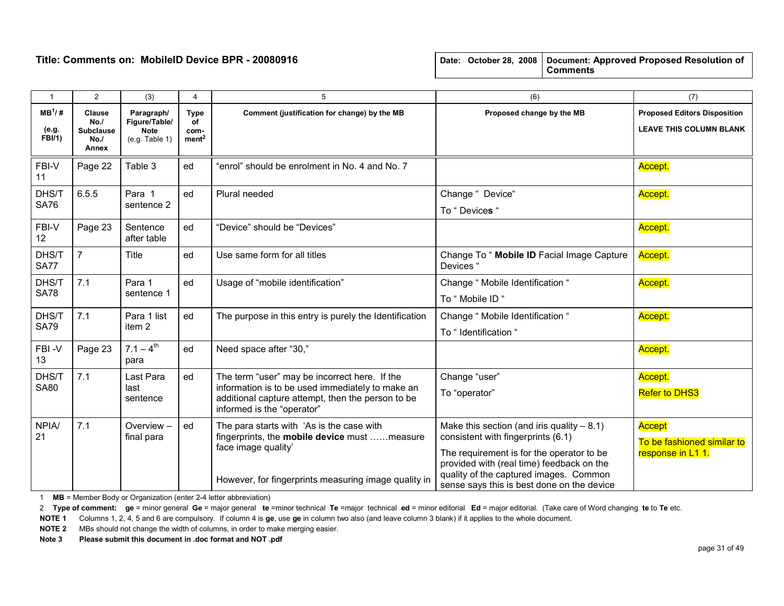|  |  | Date: October 28, 2008   Document: Approved Proposed Resolution of |
|--|--|--------------------------------------------------------------------|
|  |  | <b>Comments</b>                                                    |

| $\mathbf{1}$                | $\overline{2}$                                    | (3)                                                          | $\overline{4}$                                 | 5                                                                                                                                                                                    | (6)                                                                                                                                                                                                                                                                  | (7)                                                                   |
|-----------------------------|---------------------------------------------------|--------------------------------------------------------------|------------------------------------------------|--------------------------------------------------------------------------------------------------------------------------------------------------------------------------------------|----------------------------------------------------------------------------------------------------------------------------------------------------------------------------------------------------------------------------------------------------------------------|-----------------------------------------------------------------------|
| $MB^1/H$<br>(e.g.<br>FBI/1) | Clause<br>No.<br><b>Subclause</b><br>No.<br>Annex | Paragraph/<br>Figure/Table/<br><b>Note</b><br>(e.g. Table 1) | <b>Type</b><br>of<br>com-<br>ment <sup>2</sup> | Comment (justification for change) by the MB<br>Proposed change by the MB                                                                                                            |                                                                                                                                                                                                                                                                      | <b>Proposed Editors Disposition</b><br><b>LEAVE THIS COLUMN BLANK</b> |
| FBI-V<br>11                 | Page 22                                           | Table 3                                                      | ed                                             | "enrol" should be enrolment in No. 4 and No. 7                                                                                                                                       |                                                                                                                                                                                                                                                                      | Accept.                                                               |
| DHS/T<br><b>SA76</b>        | 6.5.5                                             | Para 1<br>sentence 2                                         | ed                                             | Change " Device"<br>Plural needed<br>To "Devices "                                                                                                                                   |                                                                                                                                                                                                                                                                      | Accept.                                                               |
| FBI-V<br>12                 | Page 23                                           | Sentence<br>after table                                      | ed                                             | "Device" should be "Devices"                                                                                                                                                         |                                                                                                                                                                                                                                                                      | Accept.                                                               |
| DHS/T<br><b>SA77</b>        | $\overline{7}$                                    | Title                                                        | ed                                             | Use same form for all titles                                                                                                                                                         | Change To " Mobile ID Facial Image Capture<br>Devices "                                                                                                                                                                                                              | Accept.                                                               |
| DHS/T<br><b>SA78</b>        | 7.1                                               | Para 1<br>sentence 1                                         | ed                                             | Usage of "mobile identification"                                                                                                                                                     | Change " Mobile Identification "<br>To " Mobile ID "                                                                                                                                                                                                                 | Accept.                                                               |
| DHS/T<br><b>SA79</b>        | 7.1                                               | Para 1 list<br>item <sub>2</sub>                             | ed                                             | The purpose in this entry is purely the Identification                                                                                                                               | Change " Mobile Identification "<br>To " Identification "                                                                                                                                                                                                            | Accept.                                                               |
| FBI-V<br>13                 | Page 23                                           | $7.1 - 4^{th}$<br>para                                       | ed                                             | Need space after "30,"                                                                                                                                                               |                                                                                                                                                                                                                                                                      | Accept.                                                               |
| DHS/T<br><b>SA80</b>        | 7.1                                               | Last Para<br>last<br>sentence                                | ed                                             | The term "user" may be incorrect here. If the<br>information is to be used immediately to make an<br>additional capture attempt, then the person to be<br>informed is the "operator" | Change "user"<br>To "operator"                                                                                                                                                                                                                                       | Accept.<br><b>Refer to DHS3</b>                                       |
| NPIA/<br>21                 | 7.1                                               | Overview-<br>final para                                      | ed                                             | The para starts with 'As is the case with<br>fingerprints, the mobile device must measure<br>face image quality'<br>However, for fingerprints measuring image quality in             | Make this section (and iris quality $-8.1$ )<br>consistent with fingerprints (6.1)<br>The requirement is for the operator to be<br>provided with (real time) feedback on the<br>quality of the captured images. Common<br>sense says this is best done on the device | Accept<br>To be fashioned similar to<br>response in L1 1.             |

1 MB = Member Body or Organization (enter 2-4 letter abbreviation)

2 Type of comment: ge = minor general Ge = major general te =minor technical Te =major technical ed = minor editorial Ed = major editorial. (Take care of Word changing te to Te etc.

NOTE 1 Columns 1, 2, 4, 5 and 6 are compulsory. If column 4 is ge, use ge in column two also (and leave column 3 blank) if it applies to the whole document.

NOTE 2 MBs should not change the width of columns, in order to make merging easier.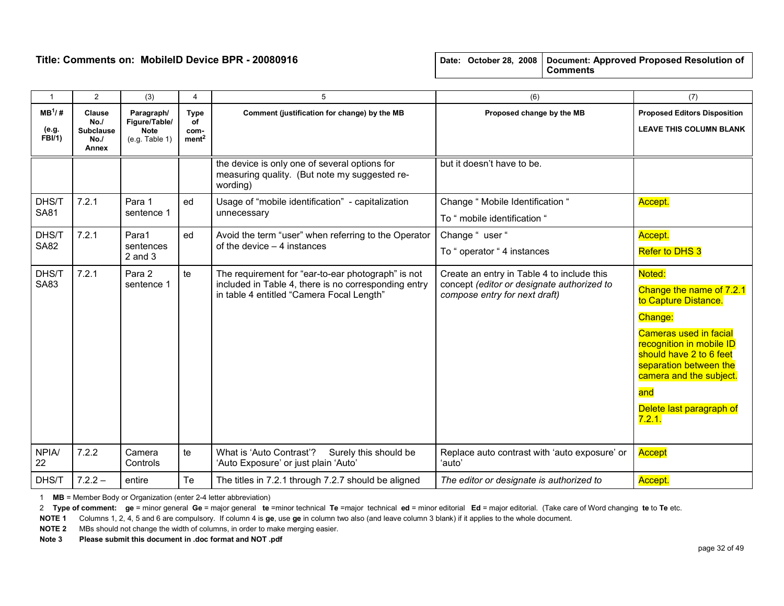| $\mathbf{1}$                | $\overline{2}$                                           | (3)                                                          | 4                                              | 5                                                                                                                                                       | (6)                                                                                                                       | (7)                                                                                                                                                                                                                                                             |
|-----------------------------|----------------------------------------------------------|--------------------------------------------------------------|------------------------------------------------|---------------------------------------------------------------------------------------------------------------------------------------------------------|---------------------------------------------------------------------------------------------------------------------------|-----------------------------------------------------------------------------------------------------------------------------------------------------------------------------------------------------------------------------------------------------------------|
| $MB^1/H$<br>(e.g.<br>FBI/1) | <b>Clause</b><br>No.<br><b>Subclause</b><br>No.<br>Annex | Paragraph/<br>Figure/Table/<br><b>Note</b><br>(e.g. Table 1) | <b>Type</b><br>of<br>com-<br>ment <sup>2</sup> | Comment (justification for change) by the MB                                                                                                            | Proposed change by the MB                                                                                                 | <b>Proposed Editors Disposition</b><br><b>LEAVE THIS COLUMN BLANK</b>                                                                                                                                                                                           |
|                             |                                                          |                                                              |                                                | the device is only one of several options for<br>measuring quality. (But note my suggested re-<br>wording)                                              | but it doesn't have to be.                                                                                                |                                                                                                                                                                                                                                                                 |
| DHS/T                       | 7.2.1                                                    | Para 1                                                       | ed                                             | Usage of "mobile identification" - capitalization                                                                                                       | Change " Mobile Identification "                                                                                          | Accept.                                                                                                                                                                                                                                                         |
| <b>SA81</b>                 |                                                          | sentence 1                                                   |                                                | unnecessary                                                                                                                                             | To " mobile identification "                                                                                              |                                                                                                                                                                                                                                                                 |
| DHS/T                       | 7.2.1                                                    | Para1                                                        | ed                                             | Avoid the term "user" when referring to the Operator                                                                                                    | Change "user "                                                                                                            | Accept.                                                                                                                                                                                                                                                         |
| <b>SA82</b>                 |                                                          | sentences<br>$2$ and $3$                                     |                                                | of the device $-4$ instances                                                                                                                            | To " operator " 4 instances                                                                                               | <b>Refer to DHS 3</b>                                                                                                                                                                                                                                           |
| DHS/T<br><b>SA83</b>        | 7.2.1                                                    | Para 2<br>sentence 1                                         | te                                             | The requirement for "ear-to-ear photograph" is not<br>included in Table 4, there is no corresponding entry<br>in table 4 entitled "Camera Focal Length" | Create an entry in Table 4 to include this<br>concept (editor or designate authorized to<br>compose entry for next draft) | Noted:<br>Change the name of 7.2.1<br>to Capture Distance.<br>Change:<br><b>Cameras used in facial</b><br>recognition in mobile ID<br>should have 2 to 6 feet<br>separation between the<br>camera and the subject.<br>and<br>Delete last paragraph of<br>7.2.1. |
| <b>NPIA/</b><br>22          | 7.2.2                                                    | Camera<br>Controls                                           | te                                             | What is 'Auto Contrast'?<br>Surely this should be<br>'Auto Exposure' or just plain 'Auto'                                                               | Replace auto contrast with 'auto exposure' or<br>'auto'                                                                   | Accept                                                                                                                                                                                                                                                          |
| DHS/T                       | $7.2.2 -$                                                | entire                                                       | Te                                             | The titles in 7.2.1 through 7.2.7 should be aligned                                                                                                     | The editor or designate is authorized to                                                                                  | Accept.                                                                                                                                                                                                                                                         |

1 MB = Member Body or Organization (enter 2-4 letter abbreviation)

2 Type of comment: ge = minor general Ge = major general te =minor technical Te =major technical ed = minor editorial Ed = major editorial. (Take care of Word changing te to Te etc.

NOTE 1 Columns 1, 2, 4, 5 and 6 are compulsory. If column 4 is ge, use ge in column two also (and leave column 3 blank) if it applies to the whole document.

NOTE 2 MBs should not change the width of columns, in order to make merging easier.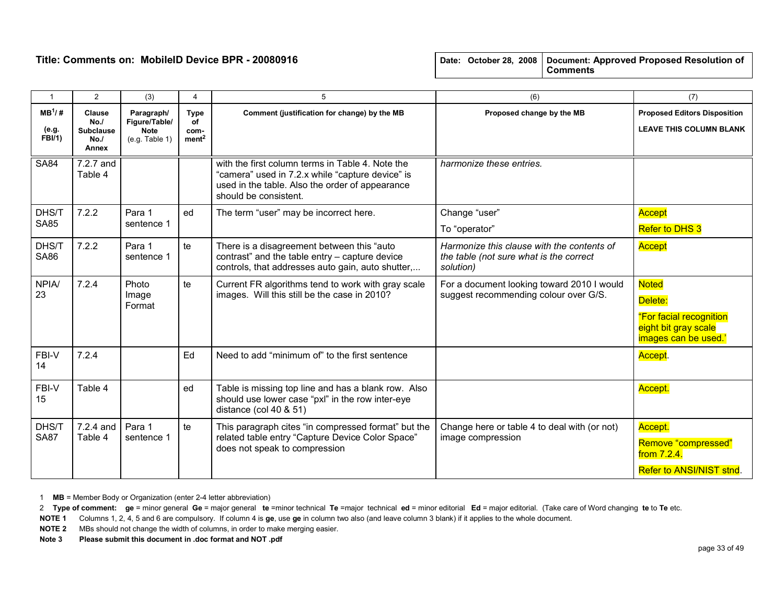| $\overline{1}$                     | 2                                                        | (3)                                                          | $\overline{4}$                                 | 5                                                                                                                                                                                                                                                        | (6)                                                                                                                                                                                       | (7)                                                                   |
|------------------------------------|----------------------------------------------------------|--------------------------------------------------------------|------------------------------------------------|----------------------------------------------------------------------------------------------------------------------------------------------------------------------------------------------------------------------------------------------------------|-------------------------------------------------------------------------------------------------------------------------------------------------------------------------------------------|-----------------------------------------------------------------------|
| $MB^1/H$<br>(e.g.<br><b>FBI/1)</b> | <b>Clause</b><br>No.<br><b>Subclause</b><br>No.<br>Annex | Paragraph/<br>Figure/Table/<br><b>Note</b><br>(e.g. Table 1) | <b>Type</b><br>of<br>com-<br>ment <sup>2</sup> | Comment (justification for change) by the MB<br>Proposed change by the MB                                                                                                                                                                                |                                                                                                                                                                                           | <b>Proposed Editors Disposition</b><br><b>LEAVE THIS COLUMN BLANK</b> |
| <b>SA84</b>                        | 7.2.7 and<br>Table 4                                     |                                                              |                                                | with the first column terms in Table 4. Note the<br>"camera" used in 7.2.x while "capture device" is<br>used in the table. Also the order of appearance<br>should be consistent.                                                                         | harmonize these entries.                                                                                                                                                                  |                                                                       |
| DHS/T                              | 7.2.2                                                    | Para 1                                                       | ed                                             | The term "user" may be incorrect here.                                                                                                                                                                                                                   | Change "user"<br>Accept<br>Refer to DHS 3<br>To "operator"                                                                                                                                |                                                                       |
| <b>SA85</b>                        |                                                          | sentence 1                                                   |                                                |                                                                                                                                                                                                                                                          |                                                                                                                                                                                           |                                                                       |
| DHS/T<br><b>SA86</b>               | 7.2.2                                                    | Para 1<br>sentence 1                                         | te                                             | There is a disagreement between this "auto"<br>Harmonize this clause with the contents of<br>contrast" and the table entry - capture device<br>the table (not sure what is the correct<br>controls, that addresses auto gain, auto shutter,<br>solution) |                                                                                                                                                                                           | Accept                                                                |
| <b>NPIA/</b><br>23                 | 7.2.4                                                    | Photo<br>Image<br>Format                                     | te                                             | Current FR algorithms tend to work with gray scale<br>images. Will this still be the case in 2010?                                                                                                                                                       | <b>Noted</b><br>For a document looking toward 2010 I would<br>suggest recommending colour over G/S.<br>Delete:<br>"For facial recognition<br>eight bit gray scale<br>images can be used.' |                                                                       |
| FBI-V<br>14                        | 7.2.4                                                    |                                                              | Ed                                             | Need to add "minimum of" to the first sentence                                                                                                                                                                                                           |                                                                                                                                                                                           | Accept.                                                               |
| FBI-V<br>15                        | Table 4                                                  |                                                              | ed                                             | Table is missing top line and has a blank row. Also<br>should use lower case "pxl" in the row inter-eye<br>distance (col 40 $&$ 51)                                                                                                                      |                                                                                                                                                                                           | Accept.                                                               |
| DHS/T<br><b>SA87</b>               | 7.2.4 and<br>Table 4                                     | Para 1<br>sentence 1                                         | te                                             | This paragraph cites "in compressed format" but the<br>related table entry "Capture Device Color Space"<br>does not speak to compression                                                                                                                 | Accept.<br>Change here or table 4 to deal with (or not)<br>image compression<br>Remove "compressed"<br>from $7.2.4$ .<br>Refer to ANSI/NIST stnd.                                         |                                                                       |

1 MB = Member Body or Organization (enter 2-4 letter abbreviation)

2 Type of comment: ge = minor general Ge = major general te =minor technical Te =major technical ed = minor editorial Ed = major editorial. (Take care of Word changing te to Te etc.

NOTE 1 Columns 1, 2, 4, 5 and 6 are compulsory. If column 4 is ge, use ge in column two also (and leave column 3 blank) if it applies to the whole document.

NOTE 2 MBs should not change the width of columns, in order to make merging easier.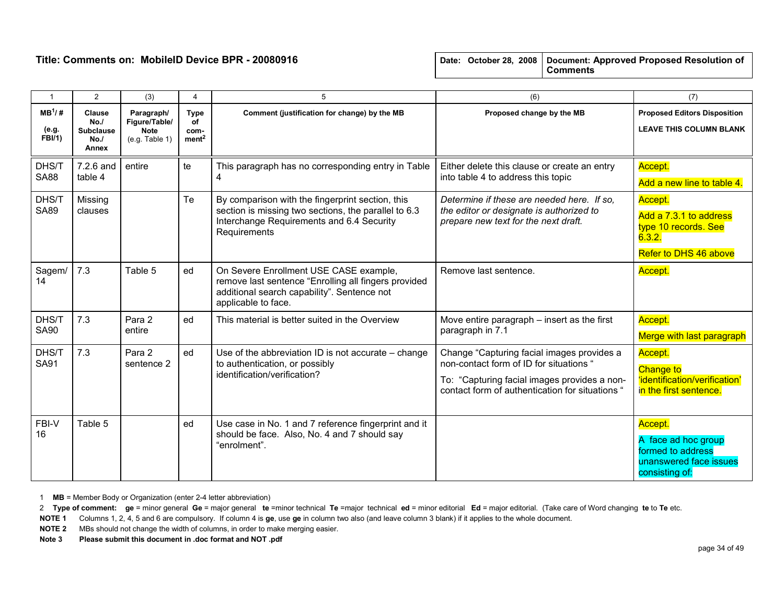| $\mathbf{1}$                        | $\overline{2}$                                           | (3)                                                          | 4                                              | 5                                                                                                                                                                     | (6)                                                                                                                                                                                      | (7)                                                                                             |
|-------------------------------------|----------------------------------------------------------|--------------------------------------------------------------|------------------------------------------------|-----------------------------------------------------------------------------------------------------------------------------------------------------------------------|------------------------------------------------------------------------------------------------------------------------------------------------------------------------------------------|-------------------------------------------------------------------------------------------------|
| $MB^1$ /#<br>(e.g.<br><b>FBI/1)</b> | <b>Clause</b><br>No.<br><b>Subclause</b><br>No.<br>Annex | Paragraph/<br>Figure/Table/<br><b>Note</b><br>(e.g. Table 1) | <b>Type</b><br>οf<br>com-<br>ment <sup>2</sup> | Proposed change by the MB<br>Comment (justification for change) by the MB                                                                                             |                                                                                                                                                                                          | <b>Proposed Editors Disposition</b><br><b>LEAVE THIS COLUMN BLANK</b>                           |
| DHS/T<br><b>SA88</b>                | 7.2.6 and<br>table 4                                     | entire                                                       | te                                             | This paragraph has no corresponding entry in Table<br>Either delete this clause or create an entry<br>4<br>into table 4 to address this topic                         |                                                                                                                                                                                          | Accept.<br>Add a new line to table 4.                                                           |
| DHS/T<br><b>SA89</b>                | Missing<br>clauses                                       |                                                              | Te                                             | By comparison with the fingerprint section, this<br>section is missing two sections, the parallel to 6.3<br>Interchange Requirements and 6.4 Security<br>Requirements | Determine if these are needed here. If so,<br>the editor or designate is authorized to<br>prepare new text for the next draft.                                                           | Accept.<br>Add a 7.3.1 to address<br>type 10 records. See<br>6.3.2.<br>Refer to DHS 46 above    |
| Sagem/<br>14                        | 7.3                                                      | Table 5                                                      | ed                                             | On Severe Enrollment USE CASE example,<br>remove last sentence "Enrolling all fingers provided<br>additional search capability". Sentence not<br>applicable to face.  | Remove last sentence.                                                                                                                                                                    | Accept.                                                                                         |
| DHS/T<br><b>SA90</b>                | 7.3                                                      | Para 2<br>entire                                             | ed                                             | This material is better suited in the Overview                                                                                                                        | Move entire paragraph – insert as the first<br>paragraph in 7.1                                                                                                                          | Accept.<br>Merge with last paragraph                                                            |
| DHS/T<br><b>SA91</b>                | 7.3                                                      | Para 2<br>sentence 2                                         | ed                                             | Use of the abbreviation ID is not accurate – change<br>to authentication, or possibly<br>identification/verification?                                                 | Change "Capturing facial images provides a<br>non-contact form of ID for situations "<br>To: "Capturing facial images provides a non-<br>contact form of authentication for situations " | Accept.<br><b>Change to</b><br>'identification/verification'<br>in the first sentence.          |
| FBI-V<br>16                         | Table 5                                                  |                                                              | ed                                             | Use case in No. 1 and 7 reference fingerprint and it<br>should be face. Also, No. 4 and 7 should say<br>"enrolment".                                                  |                                                                                                                                                                                          | Accept.<br>A face ad hoc group<br>formed to address<br>unanswered face issues<br>consisting of: |

1 MB = Member Body or Organization (enter 2-4 letter abbreviation)

2 Type of comment: ge = minor general Ge = major general te =minor technical Te =major technical ed = minor editorial Ed = major editorial. (Take care of Word changing te to Te etc.

NOTE 1 Columns 1, 2, 4, 5 and 6 are compulsory. If column 4 is ge, use ge in column two also (and leave column 3 blank) if it applies to the whole document.

NOTE 2 MBs should not change the width of columns, in order to make merging easier.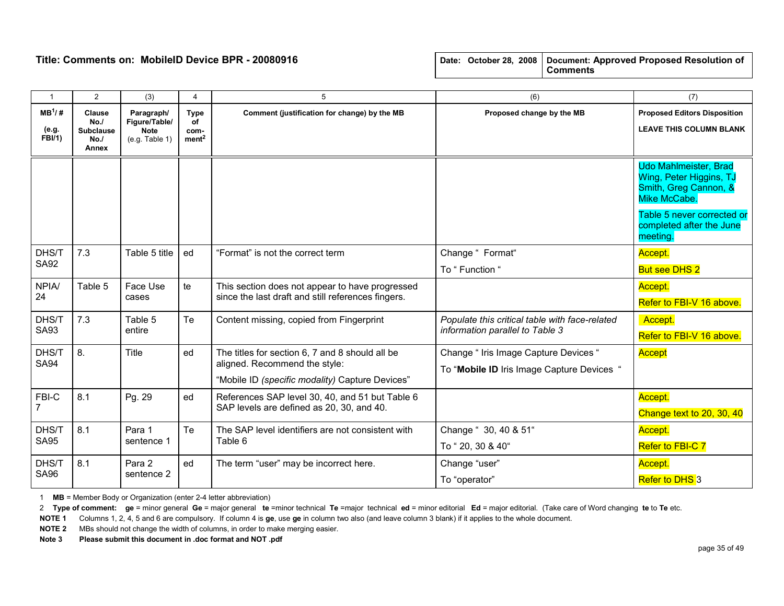| $\mathbf{1}$                       | $\overline{2}$                                    | (3)                                                          | 4                                                     | 5                                                                                            | (6)                                        | (7)                                                                                              |
|------------------------------------|---------------------------------------------------|--------------------------------------------------------------|-------------------------------------------------------|----------------------------------------------------------------------------------------------|--------------------------------------------|--------------------------------------------------------------------------------------------------|
| $MB^1/H$<br>(e.g.<br><b>FBI/1)</b> | Clause<br>No.<br><b>Subclause</b><br>No.<br>Annex | Paragraph/<br>Figure/Table/<br><b>Note</b><br>(e.g. Table 1) | <b>Type</b><br><b>of</b><br>com-<br>ment <sup>2</sup> | Comment (justification for change) by the MB                                                 | Proposed change by the MB                  | <b>Proposed Editors Disposition</b><br><b>LEAVE THIS COLUMN BLANK</b>                            |
|                                    |                                                   |                                                              |                                                       |                                                                                              |                                            | <b>Udo Mahlmeister, Brad</b><br>Wing, Peter Higgins, TJ<br>Smith, Greg Cannon, &<br>Mike McCabe. |
|                                    |                                                   |                                                              |                                                       |                                                                                              |                                            | Table 5 never corrected or<br>completed after the June<br>meeting.                               |
| DHS/T                              | 7.3                                               | Table 5 title                                                | ed                                                    | "Format" is not the correct term                                                             | Change " Format"                           | Accept.                                                                                          |
| <b>SA92</b>                        |                                                   |                                                              |                                                       | To " Function "                                                                              |                                            | <b>But see DHS 2</b>                                                                             |
| <b>NPIA/</b>                       | Table 5                                           | Face Use                                                     | te                                                    | This section does not appear to have progressed                                              |                                            | Accept.                                                                                          |
| 24                                 |                                                   | cases                                                        |                                                       | since the last draft and still references fingers.                                           |                                            | Refer to FBI-V 16 above.                                                                         |
| DHS/T                              | 7.3                                               | Table 5                                                      | Te                                                    | Content missing, copied from Fingerprint<br>Populate this critical table with face-related   |                                            | Accept.                                                                                          |
| <b>SA93</b>                        |                                                   | entire                                                       |                                                       |                                                                                              | information parallel to Table 3            | Refer to FBI-V 16 above.                                                                         |
| DHS/T                              | 8.                                                | Title                                                        | ed                                                    | The titles for section 6, 7 and 8 should all be                                              | Change " Iris Image Capture Devices "      | Accept                                                                                           |
| <b>SA94</b>                        |                                                   |                                                              |                                                       | aligned. Recommend the style:                                                                | To "Mobile ID Iris Image Capture Devices " |                                                                                                  |
|                                    |                                                   |                                                              |                                                       | "Mobile ID (specific modality) Capture Devices"                                              |                                            |                                                                                                  |
| FBI-C                              | 8.1                                               | Pg. 29                                                       | ed                                                    | References SAP level 30, 40, and 51 but Table 6<br>SAP levels are defined as 20, 30, and 40. |                                            | Accept.                                                                                          |
|                                    |                                                   |                                                              |                                                       |                                                                                              |                                            | Change text to 20, 30, 40                                                                        |
| DHS/T                              | 8.1                                               | Para 1                                                       | Te                                                    | The SAP level identifiers are not consistent with                                            | Change " 30, 40 & 51"                      | Accept.                                                                                          |
| <b>SA95</b>                        |                                                   | sentence 1                                                   |                                                       | Table 6                                                                                      | To "20, 30 & 40"                           | Refer to FBI-C 7                                                                                 |
| DHS/T                              | 8.1                                               | Para 2                                                       | ed                                                    | The term "user" may be incorrect here.                                                       | Change "user"                              | Accept.                                                                                          |
| <b>SA96</b>                        |                                                   | sentence 2                                                   |                                                       |                                                                                              | To "operator"                              | Refer to DHS 3                                                                                   |

1 MB = Member Body or Organization (enter 2-4 letter abbreviation)

2 Type of comment: ge = minor general Ge = major general te =minor technical Te =major technical ed = minor editorial Ed = major editorial. (Take care of Word changing te to Te etc.

NOTE 1 Columns 1, 2, 4, 5 and 6 are compulsory. If column 4 is ge, use ge in column two also (and leave column 3 blank) if it applies to the whole document.

NOTE 2 MBs should not change the width of columns, in order to make merging easier.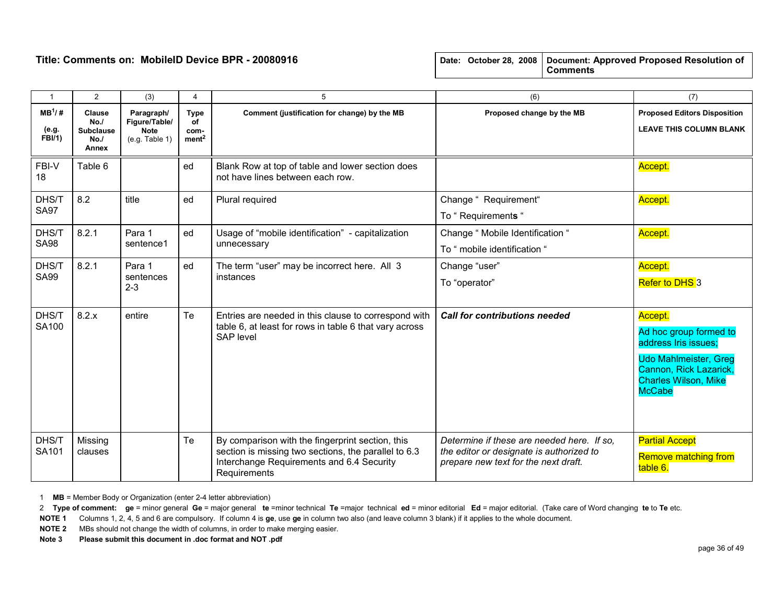| $\overline{1}$                     | $\overline{2}$                                            | (3)                                                          | 4                                              | 5                                                                                                                                                                     | (6)                                                                                                                            | (7)                                                                                                                                                                 |
|------------------------------------|-----------------------------------------------------------|--------------------------------------------------------------|------------------------------------------------|-----------------------------------------------------------------------------------------------------------------------------------------------------------------------|--------------------------------------------------------------------------------------------------------------------------------|---------------------------------------------------------------------------------------------------------------------------------------------------------------------|
| $MB^1/H$<br>(e.g.<br><b>FBI/1)</b> | <b>Clause</b><br>No.<br><b>Subclause</b><br>No./<br>Annex | Paragraph/<br>Figure/Table/<br><b>Note</b><br>(e.g. Table 1) | <b>Type</b><br>of<br>com-<br>ment <sup>2</sup> | Comment (justification for change) by the MB                                                                                                                          | Proposed change by the MB                                                                                                      | <b>Proposed Editors Disposition</b><br><b>LEAVE THIS COLUMN BLANK</b>                                                                                               |
| FBI-V<br>18                        | Table 6                                                   |                                                              | ed                                             | Blank Row at top of table and lower section does<br>not have lines between each row.                                                                                  |                                                                                                                                | Accept.                                                                                                                                                             |
| DHS/T<br><b>SA97</b>               | 8.2                                                       | title                                                        | ed                                             | Plural required                                                                                                                                                       | Change " Requirement"<br>To "Requirements "                                                                                    | Accept.                                                                                                                                                             |
| DHS/T<br><b>SA98</b>               | 8.2.1                                                     | Para 1<br>sentence1                                          | ed                                             | Usage of "mobile identification" - capitalization<br>unnecessary                                                                                                      | Change " Mobile Identification "<br>To " mobile identification "                                                               | Accept.                                                                                                                                                             |
| DHS/T<br><b>SA99</b>               | 8.2.1                                                     | Para 1<br>sentences<br>$2 - 3$                               | ed                                             | The term "user" may be incorrect here. All 3<br>instances                                                                                                             | Change "user"<br>To "operator"                                                                                                 | Accept.<br>Refer to DHS 3                                                                                                                                           |
| DHS/T<br>SA100                     | 8.2.x                                                     | entire                                                       | Te                                             | Entries are needed in this clause to correspond with<br>table 6, at least for rows in table 6 that vary across<br><b>SAP</b> level                                    | <b>Call for contributions needed</b>                                                                                           | Accept.<br>Ad hoc group formed to<br>address Iris issues;<br><b>Udo Mahlmeister, Greg</b><br>Cannon, Rick Lazarick,<br><b>Charles Wilson, Mike</b><br><b>McCabe</b> |
| DHS/T<br>SA101                     | Missing<br>clauses                                        |                                                              | Te                                             | By comparison with the fingerprint section, this<br>section is missing two sections, the parallel to 6.3<br>Interchange Requirements and 6.4 Security<br>Requirements | Determine if these are needed here. If so.<br>the editor or designate is authorized to<br>prepare new text for the next draft. | <b>Partial Accept</b><br><b>Remove matching from</b><br>table 6.                                                                                                    |

1 MB = Member Body or Organization (enter 2-4 letter abbreviation)

2 Type of comment: ge = minor general Ge = major general te =minor technical Te =major technical ed = minor editorial Ed = major editorial. (Take care of Word changing te to Te etc.

NOTE 1 Columns 1, 2, 4, 5 and 6 are compulsory. If column 4 is ge, use ge in column two also (and leave column 3 blank) if it applies to the whole document.

NOTE 2 MBs should not change the width of columns, in order to make merging easier.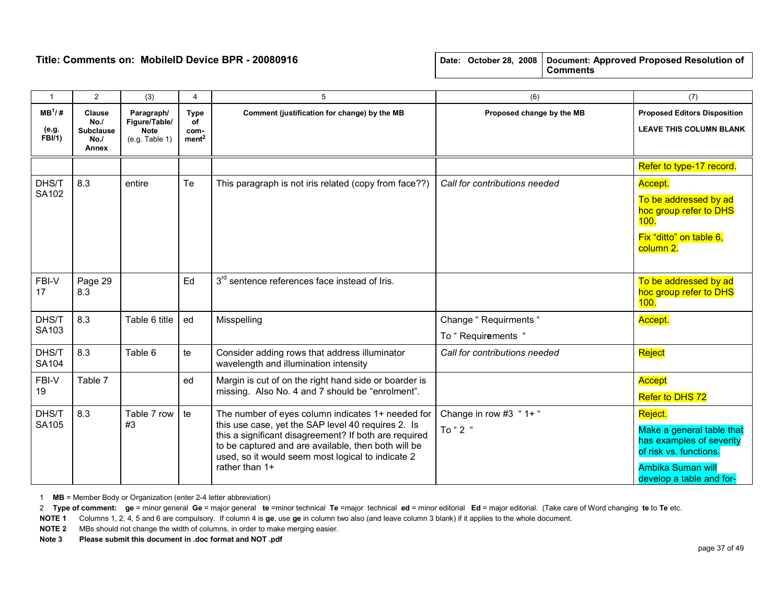| $\mathbf{1}$                 | $\overline{2}$                                           | (3)                                                          | 4                                                                   | 5                                                                                                                                                                  | (6)                                           | (7)                                                                             |
|------------------------------|----------------------------------------------------------|--------------------------------------------------------------|---------------------------------------------------------------------|--------------------------------------------------------------------------------------------------------------------------------------------------------------------|-----------------------------------------------|---------------------------------------------------------------------------------|
| $MB^1$ /#<br>(e.g.<br>FBI/1) | <b>Clause</b><br>No.<br><b>Subclause</b><br>No.<br>Annex | Paragraph/<br>Figure/Table/<br><b>Note</b><br>(e.g. Table 1) | <b>Type</b><br>of<br>com-<br>ment <sup>2</sup>                      | Comment (justification for change) by the MB                                                                                                                       | Proposed change by the MB                     | <b>Proposed Editors Disposition</b><br><b>LEAVE THIS COLUMN BLANK</b>           |
|                              |                                                          |                                                              |                                                                     |                                                                                                                                                                    |                                               | Refer to type-17 record.                                                        |
| DHS/T                        | 8.3                                                      | entire                                                       | Te                                                                  | This paragraph is not iris related (copy from face??)                                                                                                              | Call for contributions needed                 | Accept.                                                                         |
| SA102                        |                                                          |                                                              |                                                                     |                                                                                                                                                                    |                                               | To be addressed by ad<br>hoc group refer to DHS<br>100.                         |
|                              |                                                          |                                                              |                                                                     |                                                                                                                                                                    |                                               | Fix "ditto" on table 6,<br>column 2.                                            |
| FBI-V<br>17                  | Page 29<br>8.3                                           |                                                              | Ed                                                                  | 3 <sup>rd</sup> sentence references face instead of Iris.                                                                                                          |                                               | To be addressed by ad<br>hoc group refer to DHS<br>100.                         |
| DHS/T                        | 8.3                                                      | Table 6 title                                                | ed                                                                  | Misspelling                                                                                                                                                        | Change "Requirments "                         | Accept.                                                                         |
| SA103                        |                                                          |                                                              |                                                                     |                                                                                                                                                                    | To "Requirements "                            |                                                                                 |
| DHS/T<br>SA104               | 8.3                                                      | Table 6                                                      | te                                                                  | Consider adding rows that address illuminator<br>wavelength and illumination intensity                                                                             | Call for contributions needed                 | Reject                                                                          |
| FBI-V                        | Table 7                                                  |                                                              | ed                                                                  | Margin is cut of on the right hand side or boarder is                                                                                                              |                                               | <b>Accept</b>                                                                   |
| 19                           |                                                          |                                                              |                                                                     | missing. Also No. 4 and 7 should be "enrolment".                                                                                                                   |                                               | Refer to DHS 72                                                                 |
| DHS/T<br>SA105               | 8.3                                                      | Table 7 row                                                  | te                                                                  | The number of eyes column indicates 1+ needed for                                                                                                                  | Change in row #3 "1+"                         | Reject.                                                                         |
|                              |                                                          |                                                              | #3                                                                  | this use case, yet the SAP level 40 requires 2. Is<br>this a significant disagreement? If both are required<br>to be captured and are available, then both will be | To "2 "                                       | Make a general table that<br>has examples of severity<br>of risk vs. functions. |
|                              |                                                          |                                                              | used, so it would seem most logical to indicate 2<br>rather than 1+ |                                                                                                                                                                    | Ambika Suman will<br>develop a table and for- |                                                                                 |

1 MB = Member Body or Organization (enter 2-4 letter abbreviation)

2 Type of comment: ge = minor general Ge = major general te =minor technical Te =major technical ed = minor editorial Ed = major editorial. (Take care of Word changing te to Te etc.

NOTE 1 Columns 1, 2, 4, 5 and 6 are compulsory. If column 4 is ge, use ge in column two also (and leave column 3 blank) if it applies to the whole document.

NOTE 2 MBs should not change the width of columns, in order to make merging easier.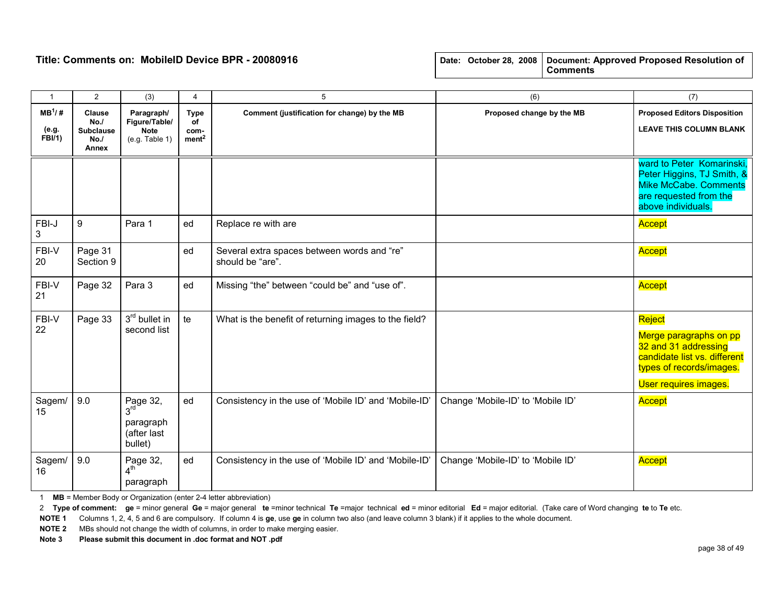|  |  | Date: October 28, 2008   Document: Approved Proposed Resolution of |
|--|--|--------------------------------------------------------------------|
|  |  | <b>Comments</b>                                                    |

| $\overline{1}$                     | $\overline{2}$                                           | (3)                                                             | 4                                              | 5                                                               | (6)                               | (7)                                                                                                                                           |
|------------------------------------|----------------------------------------------------------|-----------------------------------------------------------------|------------------------------------------------|-----------------------------------------------------------------|-----------------------------------|-----------------------------------------------------------------------------------------------------------------------------------------------|
| $MB^1/H$<br>(e.g.<br><b>FBI/1)</b> | <b>Clause</b><br>No.<br><b>Subclause</b><br>No.<br>Annex | Paragraph/<br>Figure/Table/<br><b>Note</b><br>(e.g. Table 1)    | <b>Type</b><br>of<br>com-<br>ment <sup>2</sup> | Comment (justification for change) by the MB                    | Proposed change by the MB         | <b>Proposed Editors Disposition</b><br><b>LEAVE THIS COLUMN BLANK</b>                                                                         |
|                                    |                                                          |                                                                 |                                                |                                                                 |                                   | ward to Peter Komarinski,<br>Peter Higgins, TJ Smith, &<br><b>Mike McCabe. Comments</b><br>are requested from the<br>above individuals.       |
| FBI-J<br>3                         | 9                                                        | Para 1                                                          | ed                                             | Replace re with are                                             |                                   | Accept                                                                                                                                        |
| FBI-V<br>20                        | Page 31<br>Section 9                                     |                                                                 | ed                                             | Several extra spaces between words and "re"<br>should be "are". |                                   | Accept                                                                                                                                        |
| FBI-V<br>21                        | Page 32                                                  | Para 3                                                          | ed                                             | Missing "the" between "could be" and "use of".                  |                                   | Accept                                                                                                                                        |
| FBI-V<br>22                        | Page 33                                                  | 3rd bullet in<br>second list                                    | te                                             | What is the benefit of returning images to the field?           |                                   | Reject<br>Merge paragraphs on pp<br>32 and 31 addressing<br>candidate list vs. different<br>types of records/images.<br>User requires images. |
| Sagem/<br>15                       | 9.0                                                      | Page 32, $3^{\text{rd}}$<br>paragraph<br>(after last<br>bullet) | ed                                             | Consistency in the use of 'Mobile ID' and 'Mobile-ID'           | Change 'Mobile-ID' to 'Mobile ID' | Accept                                                                                                                                        |
| Sagem/<br>16                       | 9.0                                                      | Page 32,<br>4 <sup>th</sup><br>paragraph                        | ed                                             | Consistency in the use of 'Mobile ID' and 'Mobile-ID'           | Change 'Mobile-ID' to 'Mobile ID' | Accept                                                                                                                                        |

1 MB = Member Body or Organization (enter 2-4 letter abbreviation)

2 Type of comment: ge = minor general Ge = major general te =minor technical Te =major technical ed = minor editorial Ed = major editorial. (Take care of Word changing te to Te etc.

NOTE 1 Columns 1, 2, 4, 5 and 6 are compulsory. If column 4 is ge, use ge in column two also (and leave column 3 blank) if it applies to the whole document.

NOTE 2 MBs should not change the width of columns, in order to make merging easier.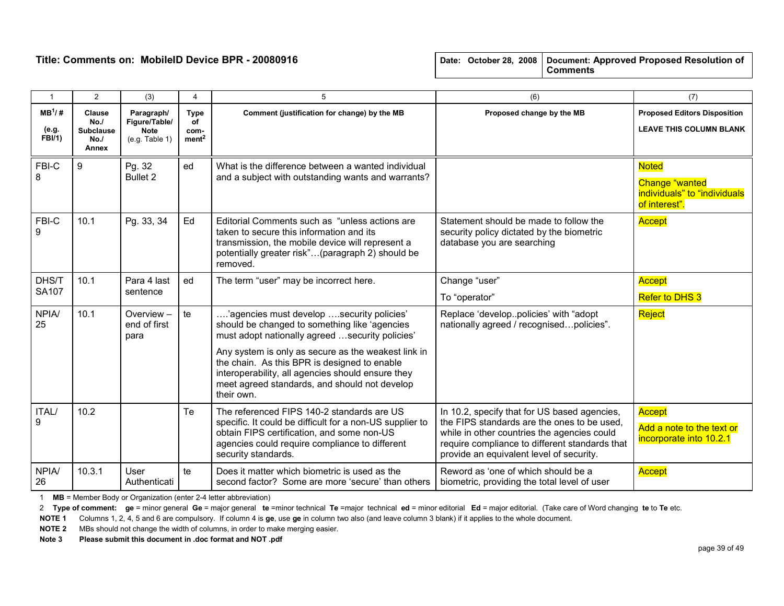| $\mathbf{1}$                        | $\overline{2}$                                     | (3)                                                          | 4                                              | 5                                                                                                                                                                                                                                                                                                                                                                          | (6)                                                                                                                                                                                                                                      | (7)                                                                                    |
|-------------------------------------|----------------------------------------------------|--------------------------------------------------------------|------------------------------------------------|----------------------------------------------------------------------------------------------------------------------------------------------------------------------------------------------------------------------------------------------------------------------------------------------------------------------------------------------------------------------------|------------------------------------------------------------------------------------------------------------------------------------------------------------------------------------------------------------------------------------------|----------------------------------------------------------------------------------------|
| $MB^1$ /#<br>(e.g.<br><b>FBI/1)</b> | Clause<br>No.<br><b>Subclause</b><br>No./<br>Annex | Paragraph/<br>Figure/Table/<br><b>Note</b><br>(e.g. Table 1) | <b>Type</b><br>of<br>com-<br>ment <sup>2</sup> | Comment (justification for change) by the MB                                                                                                                                                                                                                                                                                                                               | Proposed change by the MB                                                                                                                                                                                                                | <b>Proposed Editors Disposition</b><br><b>LEAVE THIS COLUMN BLANK</b>                  |
| FBI-C<br>8                          | 9                                                  | Pg. 32<br>Bullet 2                                           | ed                                             | What is the difference between a wanted individual<br>and a subject with outstanding wants and warrants?                                                                                                                                                                                                                                                                   |                                                                                                                                                                                                                                          | <b>Noted</b><br><b>Change "wanted</b><br>individuals" to "individuals<br>of interest". |
| FBI-C<br>9                          | 10.1                                               | Pg. 33, 34                                                   | Ed                                             | Editorial Comments such as "unless actions are<br>taken to secure this information and its<br>transmission, the mobile device will represent a<br>potentially greater risk"(paragraph 2) should be<br>removed.                                                                                                                                                             | Statement should be made to follow the<br>security policy dictated by the biometric<br>database you are searching                                                                                                                        | Accept                                                                                 |
| DHS/T<br>SA107                      | 10.1                                               | Para 4 last<br>sentence                                      | ed                                             | The term "user" may be incorrect here.                                                                                                                                                                                                                                                                                                                                     | Change "user"<br>To "operator"                                                                                                                                                                                                           | Accept<br><b>Refer to DHS 3</b>                                                        |
| <b>NPIA/</b><br>25                  | 10.1                                               | Overview -<br>end of first<br>para                           | te                                             | 'agencies must develop security policies'.<br>should be changed to something like 'agencies<br>must adopt nationally agreed  security policies'<br>Any system is only as secure as the weakest link in<br>the chain. As this BPR is designed to enable<br>interoperability, all agencies should ensure they<br>meet agreed standards, and should not develop<br>their own. | Replace 'developpolicies' with "adopt<br>nationally agreed / recognisedpolicies".                                                                                                                                                        | Reject                                                                                 |
| ITAL/<br>9                          | 10.2                                               |                                                              | Te                                             | The referenced FIPS 140-2 standards are US<br>specific. It could be difficult for a non-US supplier to<br>obtain FIPS certification, and some non-US<br>agencies could require compliance to different<br>security standards.                                                                                                                                              | In 10.2, specify that for US based agencies,<br>the FIPS standards are the ones to be used.<br>while in other countries the agencies could<br>require compliance to different standards that<br>provide an equivalent level of security. | Accept<br>Add a note to the text or<br>incorporate into 10.2.1                         |
| <b>NPIA/</b><br>26                  | 10.3.1                                             | User<br>Authenticati                                         | te                                             | Does it matter which biometric is used as the<br>second factor? Some are more 'secure' than others                                                                                                                                                                                                                                                                         | Reword as 'one of which should be a<br>biometric, providing the total level of user                                                                                                                                                      | Accept                                                                                 |

1 MB = Member Body or Organization (enter 2-4 letter abbreviation)

2 Type of comment: ge = minor general Ge = major general te =minor technical Te =major technical ed = minor editorial Ed = major editorial. (Take care of Word changing te to Te etc.

NOTE 1 Columns 1, 2, 4, 5 and 6 are compulsory. If column 4 is ge, use ge in column two also (and leave column 3 blank) if it applies to the whole document.

NOTE 2 MBs should not change the width of columns, in order to make merging easier.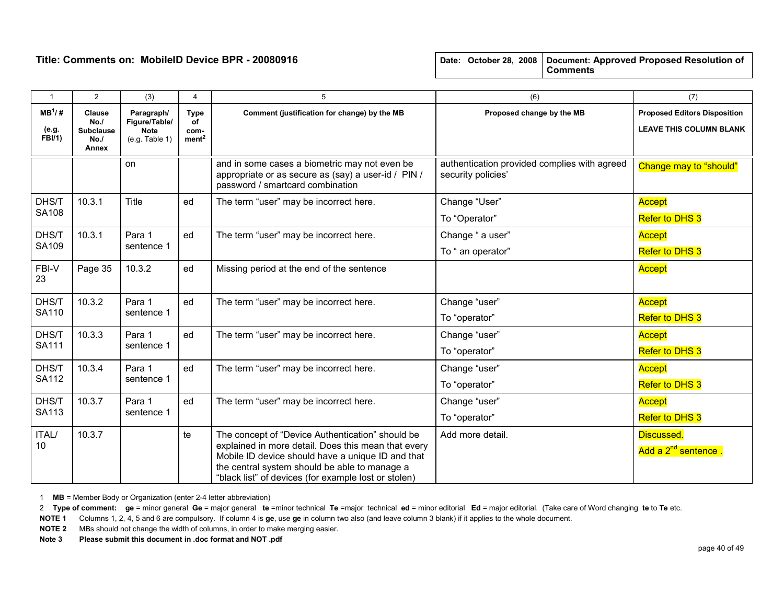| $\mathbf{1}$               | $\overline{2}$                                    | (3)                                                          | 4                                              | 5                                                                                                                                                                                                                                                                     | (6)                                                                | (7)                                                                   |
|----------------------------|---------------------------------------------------|--------------------------------------------------------------|------------------------------------------------|-----------------------------------------------------------------------------------------------------------------------------------------------------------------------------------------------------------------------------------------------------------------------|--------------------------------------------------------------------|-----------------------------------------------------------------------|
| $MB^1/H$<br>(e.g.<br>FBI/1 | Clause<br>No.<br><b>Subclause</b><br>No.<br>Annex | Paragraph/<br>Figure/Table/<br><b>Note</b><br>(e.g. Table 1) | <b>Type</b><br>of<br>com-<br>ment <sup>2</sup> | Comment (justification for change) by the MB                                                                                                                                                                                                                          | Proposed change by the MB                                          | <b>Proposed Editors Disposition</b><br><b>LEAVE THIS COLUMN BLANK</b> |
|                            |                                                   | on                                                           |                                                | and in some cases a biometric may not even be<br>appropriate or as secure as (say) a user-id / PIN /<br>password / smartcard combination                                                                                                                              | authentication provided complies with agreed<br>security policies' | Change may to "should"                                                |
| DHS/T                      | 10.3.1                                            | Title                                                        | ed                                             | The term "user" may be incorrect here.                                                                                                                                                                                                                                | Change "User"                                                      | Accept                                                                |
| SA108                      |                                                   |                                                              |                                                |                                                                                                                                                                                                                                                                       | To "Operator"                                                      | Refer to DHS 3                                                        |
| DHS/T                      | 10.3.1                                            | Para 1                                                       | ed                                             | The term "user" may be incorrect here.                                                                                                                                                                                                                                | Change " a user"                                                   | Accept                                                                |
| SA109                      |                                                   | sentence 1                                                   |                                                |                                                                                                                                                                                                                                                                       | To " an operator"                                                  | <b>Refer to DHS 3</b>                                                 |
| FBI-V<br>23                | Page 35                                           | 10.3.2                                                       | ed                                             | Missing period at the end of the sentence                                                                                                                                                                                                                             |                                                                    | Accept                                                                |
| DHS/T                      | 10.3.2                                            | Para 1                                                       | ed                                             | The term "user" may be incorrect here.                                                                                                                                                                                                                                | Change "user"                                                      | Accept                                                                |
| SA110                      |                                                   | sentence 1                                                   |                                                |                                                                                                                                                                                                                                                                       | To "operator"                                                      | <b>Refer to DHS 3</b>                                                 |
| DHS/T                      | 10.3.3                                            | Para 1                                                       | ed                                             | The term "user" may be incorrect here.                                                                                                                                                                                                                                | Change "user"                                                      | <b>Accept</b>                                                         |
| SA111                      |                                                   | sentence 1                                                   |                                                |                                                                                                                                                                                                                                                                       | To "operator"                                                      | <b>Refer to DHS 3</b>                                                 |
| DHS/T                      | 10.3.4                                            | Para 1                                                       | ed                                             | The term "user" may be incorrect here.                                                                                                                                                                                                                                | Change "user"                                                      | <b>Accept</b>                                                         |
| <b>SA112</b>               |                                                   | sentence 1                                                   |                                                |                                                                                                                                                                                                                                                                       | To "operator"                                                      | <b>Refer to DHS 3</b>                                                 |
| DHS/T                      | 10.3.7                                            | Para 1                                                       | ed                                             | The term "user" may be incorrect here.                                                                                                                                                                                                                                | Change "user"                                                      | <b>Accept</b>                                                         |
| SA113                      |                                                   | sentence 1                                                   |                                                |                                                                                                                                                                                                                                                                       | To "operator"                                                      | <b>Refer to DHS 3</b>                                                 |
| ITAL/<br>10                | 10.3.7                                            |                                                              | te                                             | The concept of "Device Authentication" should be<br>explained in more detail. Does this mean that every<br>Mobile ID device should have a unique ID and that<br>the central system should be able to manage a<br>"black list" of devices (for example lost or stolen) | Add more detail.                                                   | Discussed.<br>Add a 2 <sup>nd</sup> sentence.                         |

1 MB = Member Body or Organization (enter 2-4 letter abbreviation)

2 Type of comment: ge = minor general Ge = major general te =minor technical Te =major technical ed = minor editorial Ed = major editorial. (Take care of Word changing te to Te etc.

NOTE 1 Columns 1, 2, 4, 5 and 6 are compulsory. If column 4 is ge, use ge in column two also (and leave column 3 blank) if it applies to the whole document.

NOTE 2 MBs should not change the width of columns, in order to make merging easier.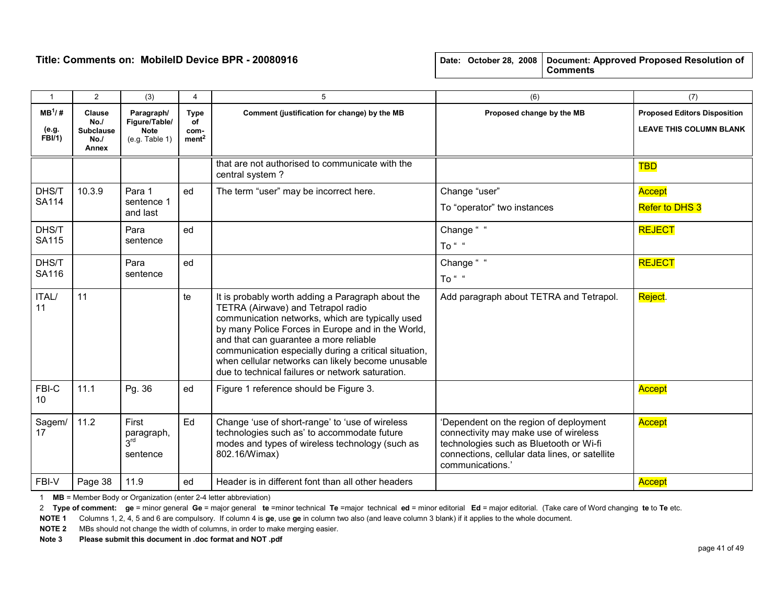|  |  | Date: October 28, 2008   Document: Approved Proposed Resolution of |
|--|--|--------------------------------------------------------------------|
|  |  | <b>Comments</b>                                                    |

| $\mathbf{1}$                        | $\overline{2}$                                    | (3)                                                          | 4                                              | 5                                                                                                                                                                                                                                                                                                                                                                                                            | (6)                                                                                                                                                                                              | (7)                                                                   |
|-------------------------------------|---------------------------------------------------|--------------------------------------------------------------|------------------------------------------------|--------------------------------------------------------------------------------------------------------------------------------------------------------------------------------------------------------------------------------------------------------------------------------------------------------------------------------------------------------------------------------------------------------------|--------------------------------------------------------------------------------------------------------------------------------------------------------------------------------------------------|-----------------------------------------------------------------------|
| $MB^1$ /#<br>(e.g.<br><b>FBI/1)</b> | Clause<br>No.<br><b>Subclause</b><br>No.<br>Annex | Paragraph/<br>Figure/Table/<br><b>Note</b><br>(e.g. Table 1) | <b>Type</b><br>of<br>com-<br>ment <sup>2</sup> | Comment (justification for change) by the MB                                                                                                                                                                                                                                                                                                                                                                 | Proposed change by the MB                                                                                                                                                                        | <b>Proposed Editors Disposition</b><br><b>LEAVE THIS COLUMN BLANK</b> |
|                                     |                                                   |                                                              |                                                | that are not authorised to communicate with the<br>central system?                                                                                                                                                                                                                                                                                                                                           |                                                                                                                                                                                                  | <b>TBD</b>                                                            |
| DHS/T<br><b>SA114</b>               | 10.3.9                                            | Para 1<br>sentence 1<br>and last                             | ed                                             | The term "user" may be incorrect here.                                                                                                                                                                                                                                                                                                                                                                       | Change "user"<br>To "operator" two instances                                                                                                                                                     | Accept<br>Refer to DHS 3                                              |
| DHS/T<br><b>SA115</b>               |                                                   | Para<br>sentence                                             | ed                                             |                                                                                                                                                                                                                                                                                                                                                                                                              | Change "<br>To " "                                                                                                                                                                               | <b>REJECT</b>                                                         |
| DHS/T<br>SA116                      |                                                   | Para<br>sentence                                             | ed                                             |                                                                                                                                                                                                                                                                                                                                                                                                              | Change "<br>To " "                                                                                                                                                                               | <b>REJECT</b>                                                         |
| ITAL/<br>11                         | 11                                                |                                                              | te                                             | It is probably worth adding a Paragraph about the<br>TETRA (Airwave) and Tetrapol radio<br>communication networks, which are typically used<br>by many Police Forces in Europe and in the World,<br>and that can guarantee a more reliable<br>communication especially during a critical situation,<br>when cellular networks can likely become unusable<br>due to technical failures or network saturation. | Add paragraph about TETRA and Tetrapol.                                                                                                                                                          | Reject.                                                               |
| FBI-C<br>10                         | 11.1                                              | Pg. 36                                                       | ed                                             | Figure 1 reference should be Figure 3.                                                                                                                                                                                                                                                                                                                                                                       |                                                                                                                                                                                                  | Accept                                                                |
| Sagem/<br>17                        | 11.2                                              | First<br>paragraph,<br>3 <sup>rd</sup><br>sentence           | Ed                                             | Change 'use of short-range' to 'use of wireless<br>technologies such as' to accommodate future<br>modes and types of wireless technology (such as<br>802.16/Wimax)                                                                                                                                                                                                                                           | 'Dependent on the region of deployment<br>connectivity may make use of wireless<br>technologies such as Bluetooth or Wi-fi<br>connections, cellular data lines, or satellite<br>communications.' | Accept                                                                |
| FBI-V                               | Page 38                                           | 11.9                                                         | ed                                             | Header is in different font than all other headers                                                                                                                                                                                                                                                                                                                                                           |                                                                                                                                                                                                  | Accept                                                                |

1 MB = Member Body or Organization (enter 2-4 letter abbreviation)

2 Type of comment: ge = minor general Ge = major general te =minor technical Te =major technical ed = minor editorial Ed = major editorial. (Take care of Word changing te to Te etc.

NOTE 1 Columns 1, 2, 4, 5 and 6 are compulsory. If column 4 is ge, use ge in column two also (and leave column 3 blank) if it applies to the whole document.

NOTE 2 MBs should not change the width of columns, in order to make merging easier.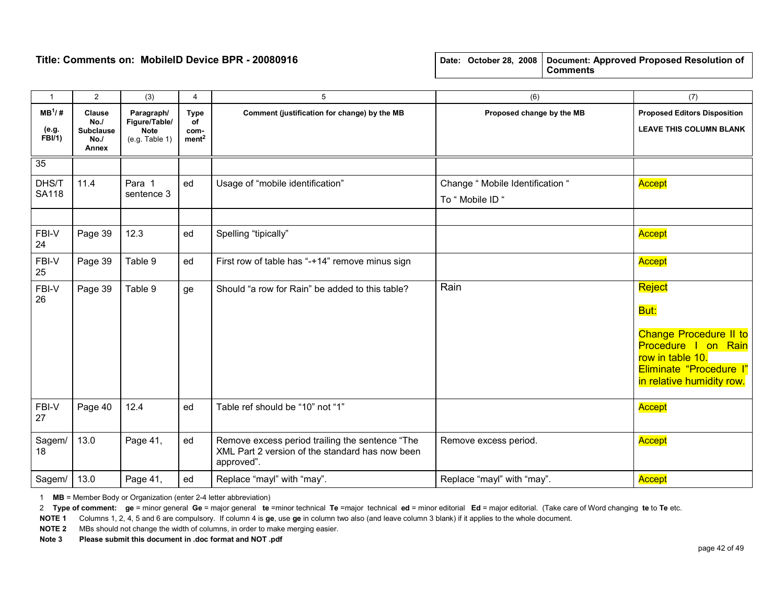| $\mathbf{1}$                         | $\overline{2}$                                    | (3)                                                          | 4                                              | 5                                                                                                                | (6)                                                  | (7)                                                                                                                                                |
|--------------------------------------|---------------------------------------------------|--------------------------------------------------------------|------------------------------------------------|------------------------------------------------------------------------------------------------------------------|------------------------------------------------------|----------------------------------------------------------------------------------------------------------------------------------------------------|
| $MB^{1}/#$<br>(e.g.<br><b>FBI/1)</b> | Clause<br>No.<br><b>Subclause</b><br>No.<br>Annex | Paragraph/<br>Figure/Table/<br><b>Note</b><br>(e.g. Table 1) | <b>Type</b><br>οf<br>com-<br>ment <sup>2</sup> | Comment (justification for change) by the MB                                                                     | Proposed change by the MB                            | <b>Proposed Editors Disposition</b><br><b>LEAVE THIS COLUMN BLANK</b>                                                                              |
| 35                                   |                                                   |                                                              |                                                |                                                                                                                  |                                                      |                                                                                                                                                    |
| DHS/T<br><b>SA118</b>                | 11.4                                              | Para 1<br>sentence 3                                         | ed                                             | Usage of "mobile identification"                                                                                 | Change " Mobile Identification "<br>To " Mobile ID " | Accept                                                                                                                                             |
|                                      |                                                   |                                                              |                                                |                                                                                                                  |                                                      |                                                                                                                                                    |
| FBI-V<br>24                          | Page 39                                           | 12.3                                                         | ed                                             | Spelling "tipically"                                                                                             |                                                      | Accept                                                                                                                                             |
| FBI-V<br>25                          | Page 39                                           | Table 9                                                      | ed                                             | First row of table has "-+14" remove minus sign                                                                  |                                                      | Accept                                                                                                                                             |
| FBI-V<br>26                          | Page 39                                           | Table 9                                                      | ge                                             | Should "a row for Rain" be added to this table?                                                                  | Rain                                                 | Reject<br>But:<br><b>Change Procedure II to</b><br>Procedure I on Rain<br>row in table 10.<br>Eliminate "Procedure l"<br>in relative humidity row. |
| $FBI-V$<br>27                        | Page 40                                           | 12.4                                                         | ed                                             | Table ref should be "10" not "1"                                                                                 |                                                      | Accept                                                                                                                                             |
| Sagem/<br>18                         | 13.0                                              | Page 41,                                                     | ed                                             | Remove excess period trailing the sentence "The<br>XML Part 2 version of the standard has now been<br>approved". | Remove excess period.                                | Accept                                                                                                                                             |
| Sagem/                               | 13.0                                              | Page 41,                                                     | ed                                             | Replace "mayl" with "may".                                                                                       | Replace "mayl" with "may".                           | Accept                                                                                                                                             |

1 MB = Member Body or Organization (enter 2-4 letter abbreviation)

2 Type of comment: ge = minor general Ge = major general te =minor technical Te =major technical ed = minor editorial Ed = major editorial. (Take care of Word changing te to Te etc.

NOTE 1 Columns 1, 2, 4, 5 and 6 are compulsory. If column 4 is ge, use ge in column two also (and leave column 3 blank) if it applies to the whole document.

NOTE 2 MBs should not change the width of columns, in order to make merging easier.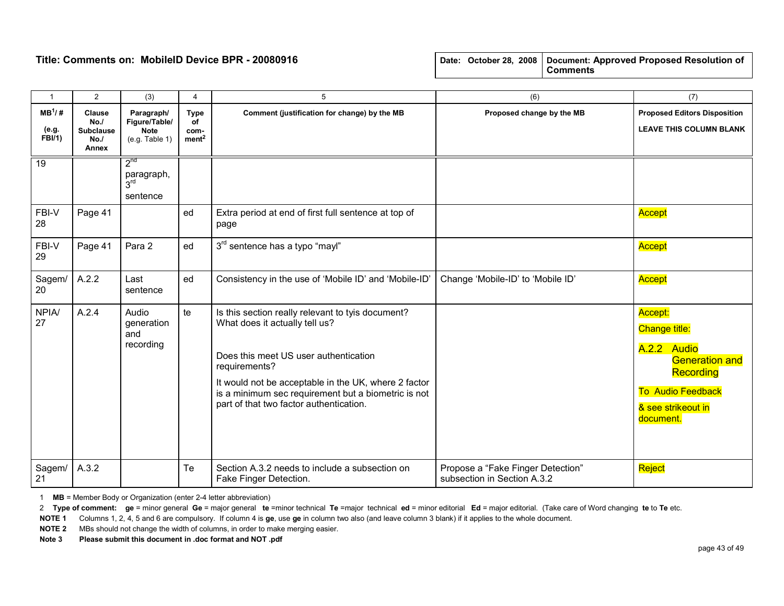|  |  | Date: October 28, 2008   Document: Approved Proposed Resolution of<br><b>Comments</b> |
|--|--|---------------------------------------------------------------------------------------|
|  |  |                                                                                       |

| $\overline{1}$                     | $\overline{2}$                                           | (3)                                                          | 4                                              | 5                                                                                                                                                                                                                                                                                                       | (6)                                                              | (7)                                                                                                                                                 |
|------------------------------------|----------------------------------------------------------|--------------------------------------------------------------|------------------------------------------------|---------------------------------------------------------------------------------------------------------------------------------------------------------------------------------------------------------------------------------------------------------------------------------------------------------|------------------------------------------------------------------|-----------------------------------------------------------------------------------------------------------------------------------------------------|
| $MB^1/H$<br>(e.g.<br><b>FBI/1)</b> | <b>Clause</b><br>No.<br><b>Subclause</b><br>No.<br>Annex | Paragraph/<br>Figure/Table/<br><b>Note</b><br>(e.g. Table 1) | <b>Type</b><br>of<br>com-<br>ment <sup>2</sup> | Comment (justification for change) by the MB                                                                                                                                                                                                                                                            | Proposed change by the MB                                        | <b>Proposed Editors Disposition</b><br><b>LEAVE THIS COLUMN BLANK</b>                                                                               |
| $\overline{19}$                    |                                                          | $2^{nd}$<br>paragraph,<br>3 <sup>rd</sup><br>sentence        |                                                |                                                                                                                                                                                                                                                                                                         |                                                                  |                                                                                                                                                     |
| FBI-V<br>28                        | Page 41                                                  |                                                              | ed                                             | Extra period at end of first full sentence at top of<br>page                                                                                                                                                                                                                                            |                                                                  | Accept                                                                                                                                              |
| FBI-V<br>29                        | Page 41                                                  | Para 2                                                       | ed                                             | 3rd sentence has a typo "mayl"                                                                                                                                                                                                                                                                          |                                                                  | Accept                                                                                                                                              |
| Sagem/<br>20                       | A.2.2                                                    | Last<br>sentence                                             | ed                                             | Consistency in the use of 'Mobile ID' and 'Mobile-ID'                                                                                                                                                                                                                                                   | Change 'Mobile-ID' to 'Mobile ID'                                | Accept                                                                                                                                              |
| <b>NPIA/</b><br>27                 | A.2.4                                                    | Audio<br>generation<br>and<br>recording                      | te                                             | Is this section really relevant to tyis document?<br>What does it actually tell us?<br>Does this meet US user authentication<br>requirements?<br>It would not be acceptable in the UK, where 2 factor<br>is a minimum sec requirement but a biometric is not<br>part of that two factor authentication. |                                                                  | Accept:<br><b>Change title:</b><br>A.2.2 Audio<br><b>Generation and</b><br><b>Recording</b><br>To Audio Feedback<br>& see strikeout in<br>document. |
| Sagem/<br>21                       | A.3.2                                                    |                                                              | Te                                             | Section A.3.2 needs to include a subsection on<br>Fake Finger Detection.                                                                                                                                                                                                                                | Propose a "Fake Finger Detection"<br>subsection in Section A.3.2 | Reject                                                                                                                                              |

1 MB = Member Body or Organization (enter 2-4 letter abbreviation)

2 Type of comment: ge = minor general Ge = major general te =minor technical Te =major technical ed = minor editorial Ed = major editorial. (Take care of Word changing te to Te etc.

NOTE 1 Columns 1, 2, 4, 5 and 6 are compulsory. If column 4 is ge, use ge in column two also (and leave column 3 blank) if it applies to the whole document.

NOTE 2 MBs should not change the width of columns, in order to make merging easier.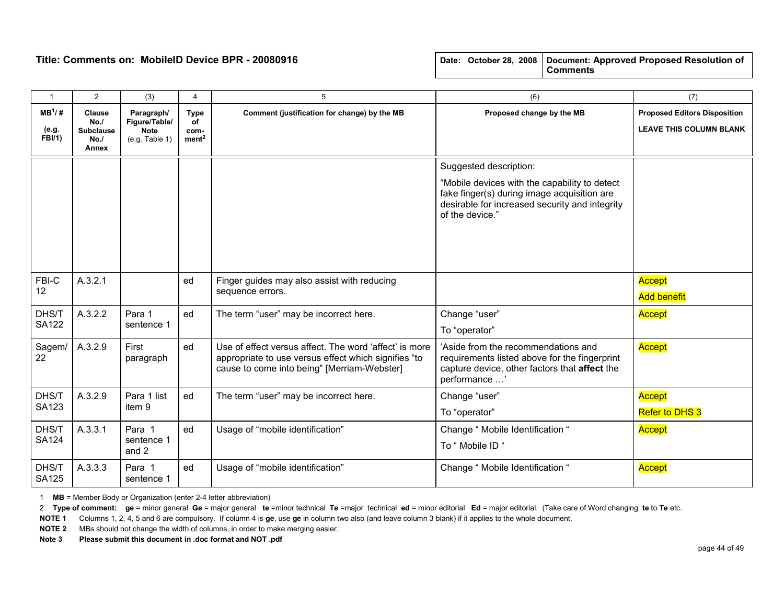| $\mathbf{1}$                | $\overline{2}$                                    | (3)                                                          | 4                                              | 5                                                                                                                                                             | (6)                                                                                                                                                                                         | (7)                                                                   |
|-----------------------------|---------------------------------------------------|--------------------------------------------------------------|------------------------------------------------|---------------------------------------------------------------------------------------------------------------------------------------------------------------|---------------------------------------------------------------------------------------------------------------------------------------------------------------------------------------------|-----------------------------------------------------------------------|
| $MB^1/H$<br>(e.g.<br>FBI/1) | Clause<br>No.<br><b>Subclause</b><br>No.<br>Annex | Paragraph/<br>Figure/Table/<br><b>Note</b><br>(e.g. Table 1) | <b>Type</b><br>of<br>com-<br>ment <sup>2</sup> | Comment (justification for change) by the MB                                                                                                                  | Proposed change by the MB                                                                                                                                                                   | <b>Proposed Editors Disposition</b><br><b>LEAVE THIS COLUMN BLANK</b> |
|                             |                                                   |                                                              |                                                |                                                                                                                                                               | Suggested description:<br>"Mobile devices with the capability to detect<br>fake finger(s) during image acquisition are<br>desirable for increased security and integrity<br>of the device." |                                                                       |
| FBI-C<br>12 <sup>2</sup>    | A.3.2.1                                           |                                                              | ed                                             | Finger guides may also assist with reducing<br>sequence errors.                                                                                               |                                                                                                                                                                                             | Accept<br><b>Add benefit</b>                                          |
| DHS/T<br><b>SA122</b>       | A.3.2.2                                           | Para 1<br>sentence 1                                         | ed                                             | The term "user" may be incorrect here.                                                                                                                        | Change "user"<br>To "operator"                                                                                                                                                              | Accept                                                                |
| Sagem/<br>22                | A.3.2.9                                           | First<br>paragraph                                           | ed                                             | Use of effect versus affect. The word 'affect' is more<br>appropriate to use versus effect which signifies "to<br>cause to come into being" [Merriam-Webster] | Aside from the recommendations and<br>requirements listed above for the fingerprint<br>capture device, other factors that affect the<br>performance '                                       | Accept                                                                |
| DHS/T<br>SA123              | A.3.2.9                                           | Para 1 list<br>item 9                                        | ed                                             | The term "user" may be incorrect here.                                                                                                                        | Change "user"<br>To "operator"                                                                                                                                                              | Accept<br><b>Refer to DHS 3</b>                                       |
| DHS/T<br>SA124              | A.3.3.1                                           | Para 1<br>sentence 1<br>and 2                                | ed                                             | Usage of "mobile identification"                                                                                                                              | Change " Mobile Identification "<br>To " Mobile ID "                                                                                                                                        | <b>Accept</b>                                                         |
| DHS/T<br><b>SA125</b>       | A.3.3.3                                           | Para 1<br>sentence 1                                         | ed                                             | Usage of "mobile identification"                                                                                                                              | Change " Mobile Identification "                                                                                                                                                            | <b>Accept</b>                                                         |

1 MB = Member Body or Organization (enter 2-4 letter abbreviation)

2 Type of comment: ge = minor general Ge = major general te =minor technical Te =major technical ed = minor editorial Ed = major editorial. (Take care of Word changing te to Te etc.

NOTE 1 Columns 1, 2, 4, 5 and 6 are compulsory. If column 4 is ge, use ge in column two also (and leave column 3 blank) if it applies to the whole document.

NOTE 2 MBs should not change the width of columns, in order to make merging easier.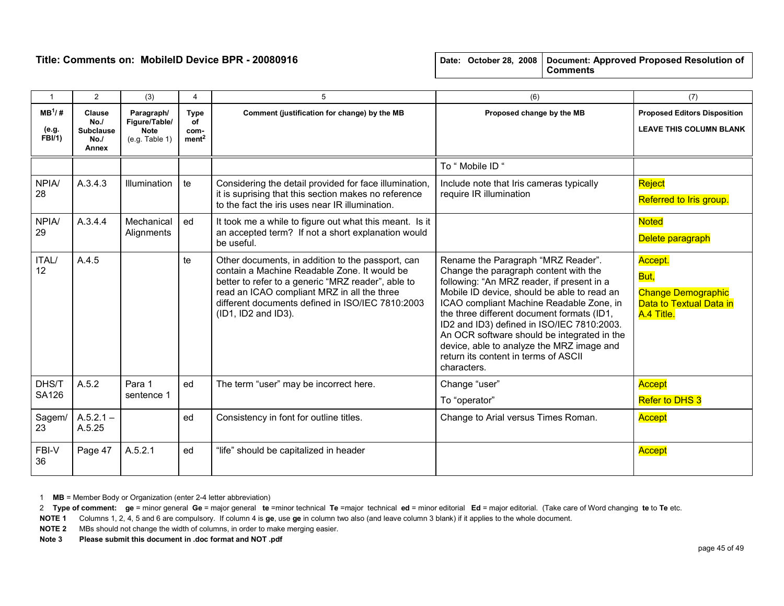|  |  | Date: October 28, 2008   Document: Approved Proposed Resolution of |
|--|--|--------------------------------------------------------------------|
|  |  | <b>Comments</b>                                                    |

| $\mathbf{1}$                        | $\overline{2}$                                           | (3)                                                          | 4                                              | 5                                                                                                                                                                                                                                                                                 | (6)                                                                                                                                                                                                                                                                                                                                                                                                                                                                 | (7)                                                                                   |
|-------------------------------------|----------------------------------------------------------|--------------------------------------------------------------|------------------------------------------------|-----------------------------------------------------------------------------------------------------------------------------------------------------------------------------------------------------------------------------------------------------------------------------------|---------------------------------------------------------------------------------------------------------------------------------------------------------------------------------------------------------------------------------------------------------------------------------------------------------------------------------------------------------------------------------------------------------------------------------------------------------------------|---------------------------------------------------------------------------------------|
| $MB^1$ /#<br>(e.g.<br><b>FBI/1)</b> | <b>Clause</b><br>No.<br><b>Subclause</b><br>No.<br>Annex | Paragraph/<br>Figure/Table/<br><b>Note</b><br>(e.g. Table 1) | <b>Type</b><br>οf<br>com-<br>ment <sup>2</sup> | Comment (justification for change) by the MB                                                                                                                                                                                                                                      | Proposed change by the MB                                                                                                                                                                                                                                                                                                                                                                                                                                           | <b>Proposed Editors Disposition</b><br><b>LEAVE THIS COLUMN BLANK</b>                 |
|                                     |                                                          |                                                              |                                                |                                                                                                                                                                                                                                                                                   | To " Mobile ID "                                                                                                                                                                                                                                                                                                                                                                                                                                                    |                                                                                       |
| NPIA/<br>28                         | A.3.4.3                                                  | Illumination                                                 | te                                             | Considering the detail provided for face illumination<br>it is suprising that this section makes no reference<br>to the fact the iris uses near IR illumination.                                                                                                                  | Include note that Iris cameras typically<br>require IR illumination                                                                                                                                                                                                                                                                                                                                                                                                 | Reject<br>Referred to Iris group.                                                     |
| <b>NPIA/</b><br>29                  | A.3.4.4                                                  | Mechanical<br>Alignments                                     | ed                                             | It took me a while to figure out what this meant. Is it<br>an accepted term? If not a short explanation would<br>be useful.                                                                                                                                                       |                                                                                                                                                                                                                                                                                                                                                                                                                                                                     | <b>Noted</b><br>Delete paragraph                                                      |
| ITAL/<br>12                         | A.4.5                                                    |                                                              | te                                             | Other documents, in addition to the passport, can<br>contain a Machine Readable Zone. It would be<br>better to refer to a generic "MRZ reader", able to<br>read an ICAO compliant MRZ in all the three<br>different documents defined in ISO/IEC 7810:2003<br>(ID1, ID2 and ID3). | Rename the Paragraph "MRZ Reader".<br>Change the paragraph content with the<br>following: "An MRZ reader, if present in a<br>Mobile ID device, should be able to read an<br>ICAO compliant Machine Readable Zone, in<br>the three different document formats (ID1,<br>ID2 and ID3) defined in ISO/IEC 7810:2003.<br>An OCR software should be integrated in the<br>device, able to analyze the MRZ image and<br>return its content in terms of ASCII<br>characters. | Accept.<br>But,<br><b>Change Demographic</b><br>Data to Textual Data in<br>A.4 Title. |
| DHS/T<br>SA126                      | A.5.2                                                    | Para 1<br>sentence 1                                         | ed                                             | The term "user" may be incorrect here.                                                                                                                                                                                                                                            | Change "user"<br>To "operator"                                                                                                                                                                                                                                                                                                                                                                                                                                      | Accept<br><b>Refer to DHS 3</b>                                                       |
| Sagem/<br>23                        | $A.5.2.1 -$<br>A.5.25                                    |                                                              | ed                                             | Consistency in font for outline titles.                                                                                                                                                                                                                                           | Change to Arial versus Times Roman.                                                                                                                                                                                                                                                                                                                                                                                                                                 | Accept                                                                                |
| FBI-V<br>36                         | Page 47                                                  | A.5.2.1                                                      | ed                                             | "life" should be capitalized in header                                                                                                                                                                                                                                            |                                                                                                                                                                                                                                                                                                                                                                                                                                                                     | Accept                                                                                |

1 MB = Member Body or Organization (enter 2-4 letter abbreviation)

2 Type of comment: ge = minor general Ge = major general te =minor technical Te =major technical ed = minor editorial Ed = major editorial. (Take care of Word changing te to Te etc.

NOTE 1 Columns 1, 2, 4, 5 and 6 are compulsory. If column 4 is ge, use ge in column two also (and leave column 3 blank) if it applies to the whole document.

NOTE 2 MBs should not change the width of columns, in order to make merging easier.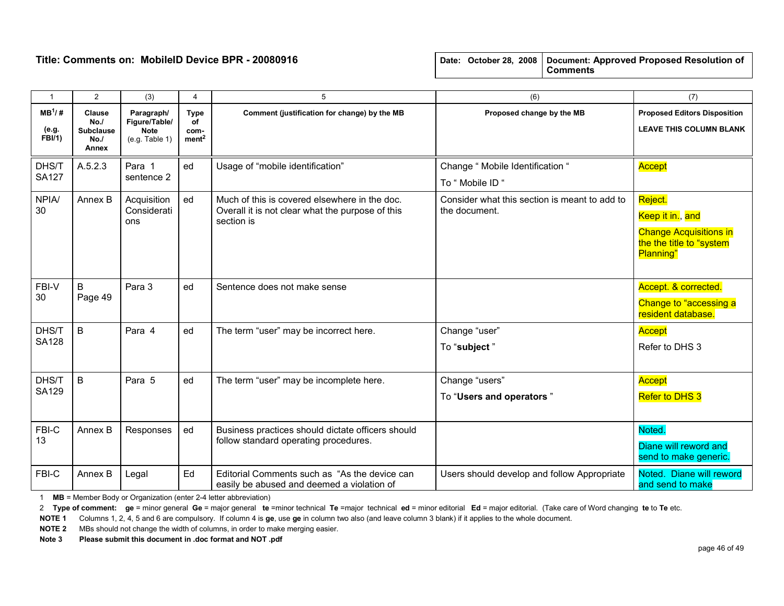| $\overline{1}$               | $\overline{2}$                                    | (3)                                                          | 4                                       | 5                                                                                                               | (6)                                                            | (7)                                                                                                   |
|------------------------------|---------------------------------------------------|--------------------------------------------------------------|-----------------------------------------|-----------------------------------------------------------------------------------------------------------------|----------------------------------------------------------------|-------------------------------------------------------------------------------------------------------|
| $MB^1$ /#<br>(e.g.<br>FBI/1) | Clause<br>No.<br><b>Subclause</b><br>No.<br>Annex | Paragraph/<br>Figure/Table/<br><b>Note</b><br>(e.g. Table 1) | Type<br>οf<br>com-<br>ment <sup>2</sup> | Comment (justification for change) by the MB                                                                    | Proposed change by the MB                                      | <b>Proposed Editors Disposition</b><br><b>LEAVE THIS COLUMN BLANK</b>                                 |
| DHS/T<br><b>SA127</b>        | A.5.2.3                                           | Para 1<br>sentence 2                                         | ed                                      | Usage of "mobile identification"                                                                                | Change " Mobile Identification "<br>To " Mobile ID "           | Accept                                                                                                |
| <b>NPIA/</b><br>30           | Annex B                                           | Acquisition<br>Considerati<br>ons                            | ed                                      | Much of this is covered elsewhere in the doc.<br>Overall it is not clear what the purpose of this<br>section is | Consider what this section is meant to add to<br>the document. | Reject.<br>Keep it in., and<br><b>Change Acquisitions in</b><br>the the title to "system<br>Planning" |
| FBI-V<br>30                  | B<br>Page 49                                      | Para 3                                                       | ed                                      | Sentence does not make sense                                                                                    |                                                                | Accept. & corrected.<br>Change to "accessing a<br>resident database.                                  |
| DHS/T<br><b>SA128</b>        | B                                                 | Para 4                                                       | ed                                      | The term "user" may be incorrect here.                                                                          | Change "user"<br>To "subject"                                  | Accept<br>Refer to DHS 3                                                                              |
| DHS/T<br><b>SA129</b>        | B                                                 | Para 5                                                       | ed                                      | The term "user" may be incomplete here.                                                                         | Change "users"<br>To "Users and operators"                     | <b>Accept</b><br>Refer to DHS 3                                                                       |
| FBI-C<br>13                  | Annex B                                           | Responses                                                    | ed                                      | Business practices should dictate officers should<br>follow standard operating procedures.                      |                                                                | Noted.<br>Diane will reword and<br>send to make generic.                                              |
| FBI-C                        | Annex B                                           | Legal                                                        | Ed                                      | Editorial Comments such as "As the device can<br>easily be abused and deemed a violation of                     | Users should develop and follow Appropriate                    | Noted. Diane will reword<br>and send to make                                                          |

1 MB = Member Body or Organization (enter 2-4 letter abbreviation)

2 Type of comment: ge = minor general Ge = major general te =minor technical Te =major technical ed = minor editorial Ed = major editorial. (Take care of Word changing te to Te etc.

NOTE 1 Columns 1, 2, 4, 5 and 6 are compulsory. If column 4 is ge, use ge in column two also (and leave column 3 blank) if it applies to the whole document.

NOTE 2 MBs should not change the width of columns, in order to make merging easier.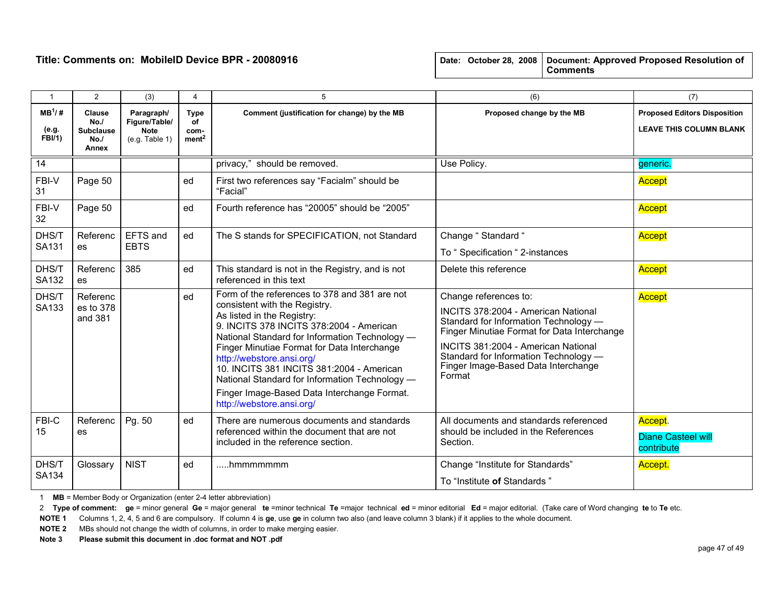| Date: October 28, 2008   Document: Approved Proposed Resolution of |
|--------------------------------------------------------------------|
|                                                                    |

| $\mathbf{1}$                         | $\overline{2}$                                           | (3)                                                          | 4                                              | 5                                                                                                                                                                                                                                                                                                                                                                                                                                                                 | (6)                                                                                                                                                                                                                                                                                   | (7)                                                                   |
|--------------------------------------|----------------------------------------------------------|--------------------------------------------------------------|------------------------------------------------|-------------------------------------------------------------------------------------------------------------------------------------------------------------------------------------------------------------------------------------------------------------------------------------------------------------------------------------------------------------------------------------------------------------------------------------------------------------------|---------------------------------------------------------------------------------------------------------------------------------------------------------------------------------------------------------------------------------------------------------------------------------------|-----------------------------------------------------------------------|
| $MB^{1}/#$<br>(e.g.<br><b>FBI/1)</b> | Clause<br>No.<br><b>Subclause</b><br>No.<br><b>Annex</b> | Paragraph/<br>Figure/Table/<br><b>Note</b><br>(e.g. Table 1) | <b>Type</b><br>of<br>com-<br>ment <sup>2</sup> | Comment (justification for change) by the MB                                                                                                                                                                                                                                                                                                                                                                                                                      | Proposed change by the MB                                                                                                                                                                                                                                                             | <b>Proposed Editors Disposition</b><br><b>LEAVE THIS COLUMN BLANK</b> |
| 14                                   |                                                          |                                                              |                                                | privacy," should be removed.                                                                                                                                                                                                                                                                                                                                                                                                                                      | Use Policy.                                                                                                                                                                                                                                                                           | generic.                                                              |
| FBI-V<br>31                          | Page 50                                                  |                                                              | ed                                             | First two references say "Facialm" should be<br>"Facial"                                                                                                                                                                                                                                                                                                                                                                                                          |                                                                                                                                                                                                                                                                                       | Accept                                                                |
| FBI-V<br>32                          | Page 50                                                  |                                                              | ed                                             | Fourth reference has "20005" should be "2005"                                                                                                                                                                                                                                                                                                                                                                                                                     |                                                                                                                                                                                                                                                                                       | Accept                                                                |
| DHS/T                                | Referenc                                                 | EFTS and                                                     | ed                                             | The S stands for SPECIFICATION, not Standard                                                                                                                                                                                                                                                                                                                                                                                                                      | Change "Standard "                                                                                                                                                                                                                                                                    | Accept                                                                |
| SA131                                | es                                                       | <b>EBTS</b>                                                  |                                                |                                                                                                                                                                                                                                                                                                                                                                                                                                                                   | To "Specification "2-instances                                                                                                                                                                                                                                                        |                                                                       |
| DHS/T<br>SA132                       | Referenc<br>es                                           | 385                                                          | ed                                             | This standard is not in the Registry, and is not<br>referenced in this text                                                                                                                                                                                                                                                                                                                                                                                       | Delete this reference                                                                                                                                                                                                                                                                 | <b>Accept</b>                                                         |
| DHS/T<br>SA133                       | Referenc<br>es to 378<br>and 381                         |                                                              | ed                                             | Form of the references to 378 and 381 are not<br>consistent with the Registry.<br>As listed in the Registry:<br>9. INCITS 378 INCITS 378:2004 - American<br>National Standard for Information Technology -<br>Finger Minutiae Format for Data Interchange<br>http://webstore.ansi.org/<br>10. INCITS 381 INCITS 381:2004 - American<br>National Standard for Information Technology -<br>Finger Image-Based Data Interchange Format.<br>http://webstore.ansi.org/ | Change references to:<br>INCITS 378:2004 - American National<br>Standard for Information Technology -<br>Finger Minutiae Format for Data Interchange<br>INCITS 381:2004 - American National<br>Standard for Information Technology -<br>Finger Image-Based Data Interchange<br>Format | <b>Accept</b>                                                         |
| FBI-C<br>15                          | Referenc<br>es                                           | Pg. 50                                                       | ed                                             | There are numerous documents and standards<br>referenced within the document that are not<br>included in the reference section.                                                                                                                                                                                                                                                                                                                                   | All documents and standards referenced<br>should be included in the References<br>Section.                                                                                                                                                                                            | Accept.<br><b>Diane Casteel will</b><br>contribute                    |
| DHS/T<br>SA134                       | Glossary                                                 | <b>NIST</b>                                                  | ed                                             | hmmmmmmm                                                                                                                                                                                                                                                                                                                                                                                                                                                          | Change "Institute for Standards"<br>To "Institute of Standards"                                                                                                                                                                                                                       | Accept.                                                               |

1 MB = Member Body or Organization (enter 2-4 letter abbreviation)

2 Type of comment: ge = minor general Ge = major general te =minor technical Te =major technical ed = minor editorial Ed = major editorial. (Take care of Word changing te to Te etc.

NOTE 1 Columns 1, 2, 4, 5 and 6 are compulsory. If column 4 is ge, use ge in column two also (and leave column 3 blank) if it applies to the whole document.

NOTE 2 MBs should not change the width of columns, in order to make merging easier.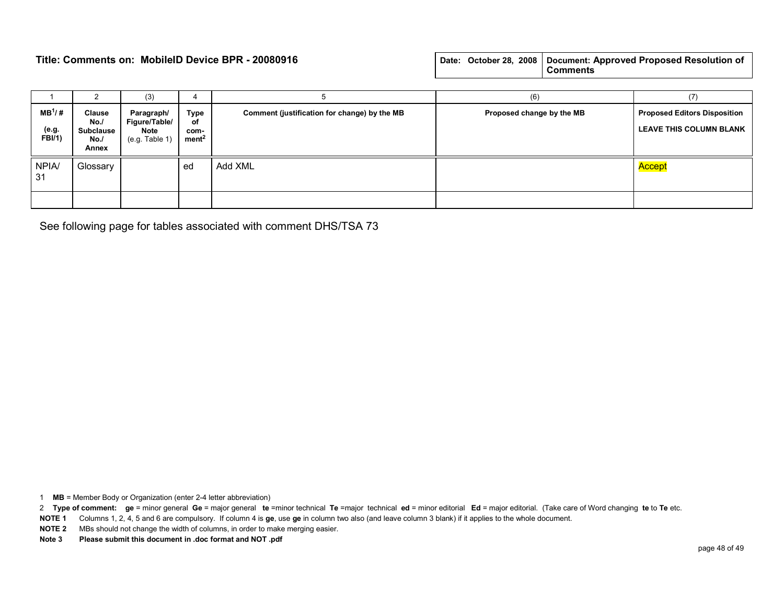|  |  | Date: October 28, 2008   Document: Approved Proposed Resolution of |
|--|--|--------------------------------------------------------------------|
|  |  | <b>Comments</b>                                                    |

|                               |                                                           | (3)                                                     |                                         |                                              | (6)                       | (7)                                                                   |
|-------------------------------|-----------------------------------------------------------|---------------------------------------------------------|-----------------------------------------|----------------------------------------------|---------------------------|-----------------------------------------------------------------------|
| $MB^{1}/#$<br>(e.g.<br>FBI/1) | <b>Clause</b><br>No./<br><b>Subclause</b><br>No.<br>Annex | Paragraph/<br>Figure/Table/<br>Note<br>$(e.g.$ Table 1) | Type<br>οf<br>com-<br>ment <sup>2</sup> | Comment (justification for change) by the MB | Proposed change by the MB | <b>Proposed Editors Disposition</b><br><b>LEAVE THIS COLUMN BLANK</b> |
| <b>NPIA/</b><br>-31           | Glossary                                                  |                                                         | ed                                      | Add XML                                      |                           | Accept                                                                |
|                               |                                                           |                                                         |                                         |                                              |                           |                                                                       |

See following page for tables associated with comment DHS/TSA 73

1 MB = Member Body or Organization (enter 2-4 letter abbreviation)

2 Type of comment: ge = minor general Ge = major general te =minor technical Te =major technical ed = minor editorial Ed = major editorial. (Take care of Word changing te to Te etc.

NOTE 1 Columns 1, 2, 4, 5 and 6 are compulsory. If column 4 is ge, use ge in column two also (and leave column 3 blank) if it applies to the whole document.

NOTE 2 MBs should not change the width of columns, in order to make merging easier.